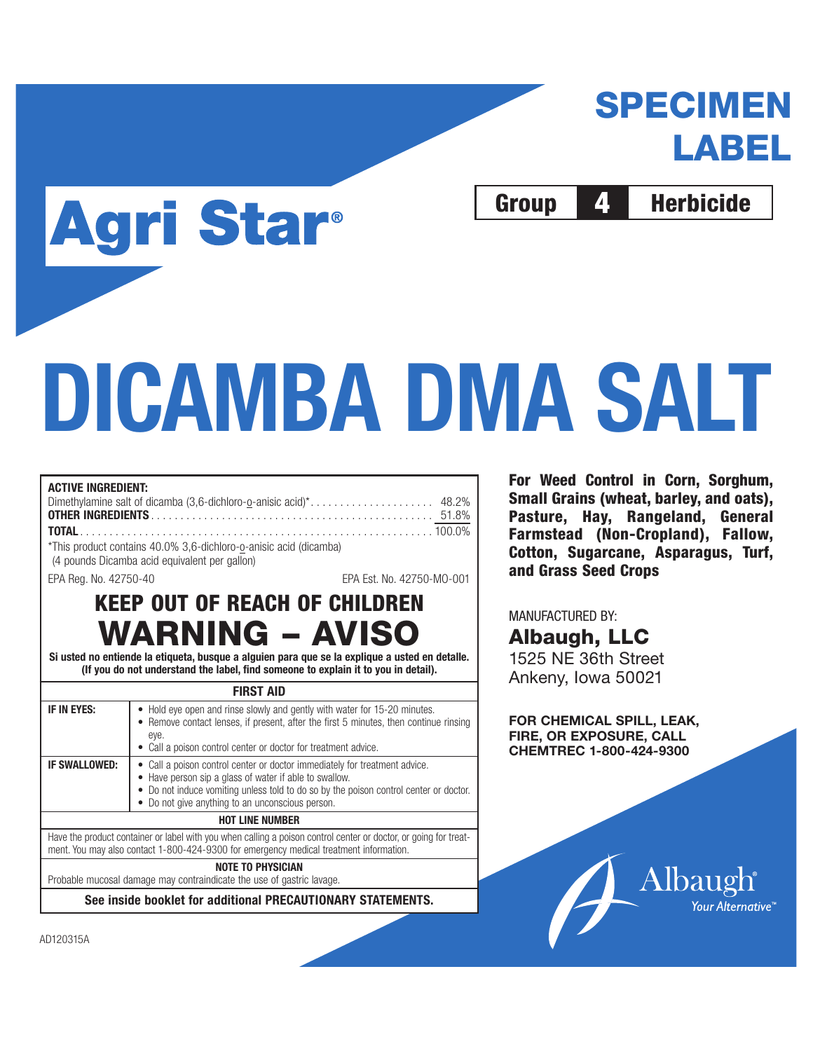# **SPECIMEN LABEL**

Group 4 Herbicide

# **DICAMBA DMA SALT**

# **ACTIVE INGREDIENT:** Dimethylamine salt of dicamba (3,6-dichloro-o-anisic acid)\*. . . . . . . . . . . . . . . . . . . . . 48.2% **OTHER INGREDIENTS** . . . . . . . . . . . . . . . . . . . . . . . . . . . . . . . . . . . . . . . . . . . . . . . . 51.8% **TOTAL** . . . . . . . . . . . . . . . . . . . . . . . . . . . . . . . . . . . . . . . . . . . . . . . . . . . . . . . . . . . . 100.0%

\*This product contains 40.0% 3,6-dichloro-o-anisic acid (dicamba) (4 pounds Dicamba acid equivalent per gallon)

**Agri Star®** 

EPA Reg. No. 42750-40 EPA Est. No. 42750-MO-001

# **KEEP OUT OF REACH OF CHILDREN WARNING – AVISO**

**Si usted no entiende la etiqueta, busque a alguien para que se la explique a usted en detalle. (If you do not understand the label, find someone to explain it to you in detail).**

#### **FIRST AID**

| • Hold eye open and rinse slowly and gently with water for 15-20 minutes.<br>• Remove contact lenses, if present, after the first 5 minutes, then continue rinsing<br>• Call a poison control center or doctor for treatment advice.                                              |  |  |
|-----------------------------------------------------------------------------------------------------------------------------------------------------------------------------------------------------------------------------------------------------------------------------------|--|--|
| • Call a poison control center or doctor immediately for treatment advice.<br>• Have person sip a glass of water if able to swallow.<br>• Do not induce vomiting unless told to do so by the poison control center or doctor.<br>• Do not give anything to an unconscious person. |  |  |
| <b>HOT LINE NUMBER</b>                                                                                                                                                                                                                                                            |  |  |
| Have the product container or label with you when calling a poison control center or doctor, or going for treat-<br>ment. You may also contact 1-800-424-9300 for emergency medical treatment information.                                                                        |  |  |
| <b>NOTE TO PHYSICIAN</b>                                                                                                                                                                                                                                                          |  |  |
| Probable mucosal damage may contraindicate the use of gastric lavage.                                                                                                                                                                                                             |  |  |
|                                                                                                                                                                                                                                                                                   |  |  |

**See inside booklet for additional PRECAUTIONARY STATEMENTS.**

**For Weed Control in Corn, Sorghum, Small Grains (wheat, barley, and oats), Pasture, Hay, Rangeland, General Farmstead (Non-Cropland), Fallow, Cotton, Sugarcane, Asparagus, Turf, and Grass Seed Crops**

MANUFACTURED BY:

**Albaugh, LLC** 1525 NE 36th Street Ankeny, Iowa 50021

**FOR CHEMICAL SPILL, LEAK, FIRE, OR EXPOSURE, CALL CHEMTREC 1-800-424-9300**



AD120315A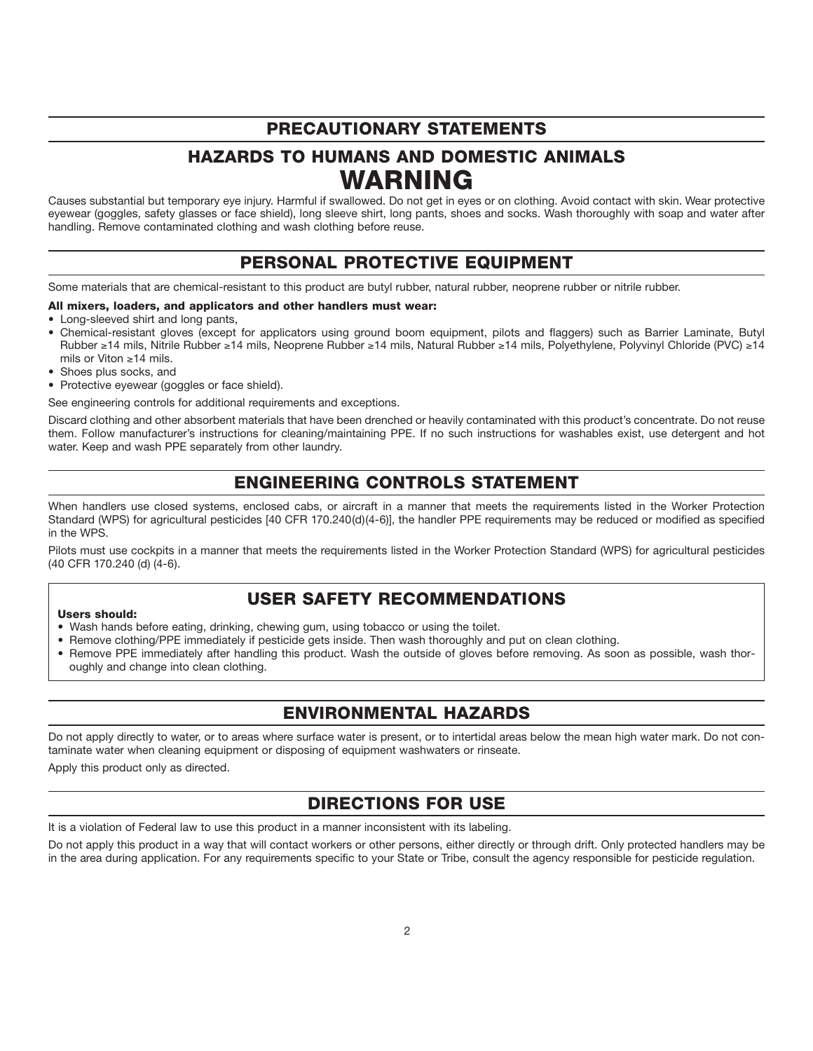# **PRECAUTIONARY STATEMENTS**

# **HAZARDS TO HUMANS AND DOMESTIC ANIMALS WARNING**

Causes substantial but temporary eye injury. Harmful if swallowed. Do not get in eyes or on clothing. Avoid contact with skin. Wear protective eyewear (goggles, safety glasses or face shield), long sleeve shirt, long pants, shoes and socks. Wash thoroughly with soap and water after handling. Remove contaminated clothing and wash clothing before reuse.

# **PERSONAL PROTECTIVE EQUIPMENT**

Some materials that are chemical-resistant to this product are butyl rubber, natural rubber, neoprene rubber or nitrile rubber.

#### **All mixers, loaders, and applicators and other handlers must wear:**

- Long-sleeved shirt and long pants,
- Chemical-resistant gloves (except for applicators using ground boom equipment, pilots and flaggers) such as Barrier Laminate, Butyl Rubber ≥14 mils, Nitrile Rubber ≥14 mils, Neoprene Rubber ≥14 mils, Natural Rubber ≥14 mils, Polyethylene, Polyvinyl Chloride (PVC) ≥14 mils or Viton ≥14 mils.
- Shoes plus socks, and
- Protective eyewear (goggles or face shield).

See engineering controls for additional requirements and exceptions.

Discard clothing and other absorbent materials that have been drenched or heavily contaminated with this product's concentrate. Do not reuse them. Follow manufacturer's instructions for cleaning/maintaining PPE. If no such instructions for washables exist, use detergent and hot water. Keep and wash PPE separately from other laundry.

# **ENGINEERING CONTROLS STATEMENT**

When handlers use closed systems, enclosed cabs, or aircraft in a manner that meets the requirements listed in the Worker Protection Standard (WPS) for agricultural pesticides [40 CFR 170.240(d)(4-6)], the handler PPE requirements may be reduced or modified as specified in the WPS.

Pilots must use cockpits in a manner that meets the requirements listed in the Worker Protection Standard (WPS) for agricultural pesticides (40 CFR 170.240 (d) (4-6).

# **USER SAFETY RECOMMENDATIONS**

#### **Users should:**

- Wash hands before eating, drinking, chewing gum, using tobacco or using the toilet.
- Remove clothing/PPE immediately if pesticide gets inside. Then wash thoroughly and put on clean clothing.
- Remove PPE immediately after handling this product. Wash the outside of gloves before removing. As soon as possible, wash thoroughly and change into clean clothing.

# **ENVIRONMENTAL HAZARDS**

Do not apply directly to water, or to areas where surface water is present, or to intertidal areas below the mean high water mark. Do not contaminate water when cleaning equipment or disposing of equipment washwaters or rinseate.

Apply this product only as directed.

# **DIRECTIONS FOR USE**

It is a violation of Federal law to use this product in a manner inconsistent with its labeling.

Do not apply this product in a way that will contact workers or other persons, either directly or through drift. Only protected handlers may be in the area during application. For any requirements specific to your State or Tribe, consult the agency responsible for pesticide regulation.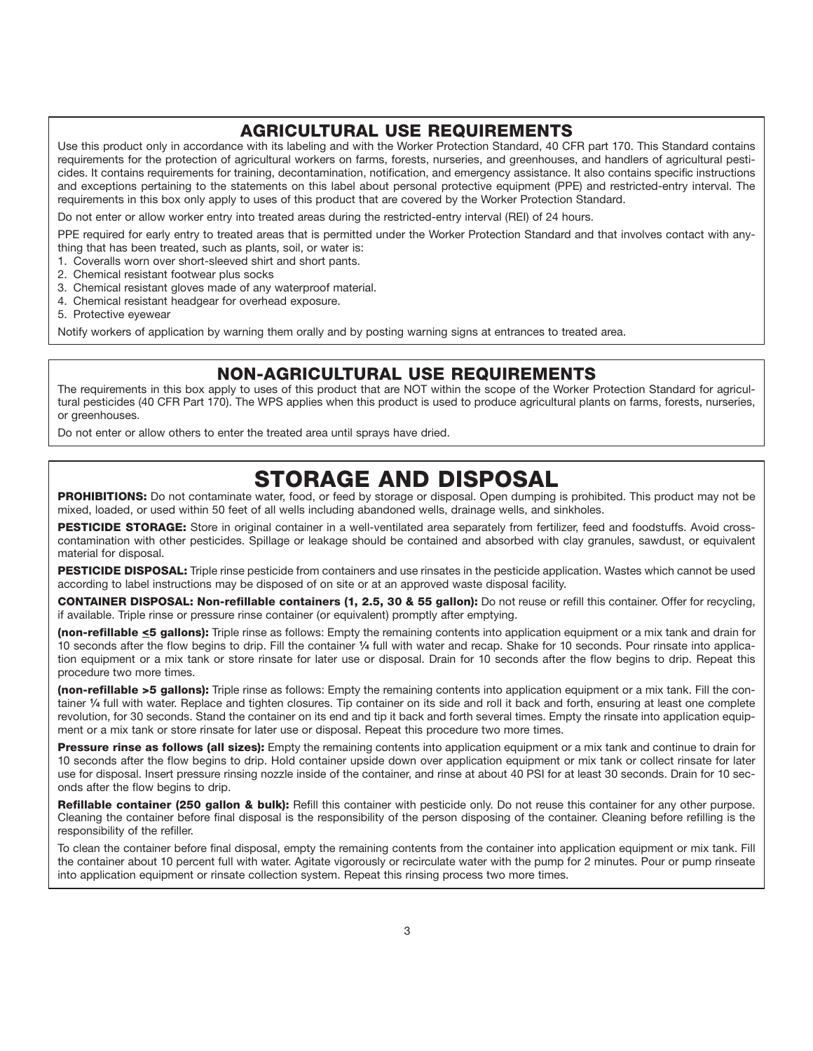# **AGRICULTURAL USE REQUIREMENTS**

Use this product only in accordance with its labeling and with the Worker Protection Standard, 40 CFR part 170. This Standard contains requirements for the protection of agricultural workers on farms, forests, nurseries, and greenhouses, and handlers of agricultural pesticides. It contains requirements for training, decontamination, notification, and emergency assistance. It also contains specific instructions and exceptions pertaining to the statements on this label about personal protective equipment (PPE) and restricted-entry interval. The requirements in this box only apply to uses of this product that are covered by the Worker Protection Standard.

Do not enter or allow worker entry into treated areas during the restricted-entry interval (REI) of 24 hours.

PPE required for early entry to treated areas that is permitted under the Worker Protection Standard and that involves contact with anything that has been treated, such as plants, soil, or water is:

1. Coveralls worn over short-sleeved shirt and short pants.

- 2. Chemical resistant footwear plus socks
- 3. Chemical resistant gloves made of any waterproof material.
- 4. Chemical resistant headgear for overhead exposure.
- 5. Protective eyewear

Notify workers of application by warning them orally and by posting warning signs at entrances to treated area.

# **NON-AGRICULTURAL USE REQUIREMENTS**

The requirements in this box apply to uses of this product that are NOT within the scope of the Worker Protection Standard for agricultural pesticides (40 CFR Part 170). The WPS applies when this product is used to produce agricultural plants on farms, forests, nurseries, or greenhouses.

Do not enter or allow others to enter the treated area until sprays have dried.

# **STORAGE AND DISPOSAL**

**PROHIBITIONS:** Do not contaminate water, food, or feed by storage or disposal. Open dumping is prohibited. This product may not be mixed, loaded, or used within 50 feet of all wells including abandoned wells, drainage wells, and sinkholes.

**PESTICIDE STORAGE:** Store in original container in a well-ventilated area separately from fertilizer, feed and foodstuffs. Avoid crosscontamination with other pesticides. Spillage or leakage should be contained and absorbed with clay granules, sawdust, or equivalent material for disposal.

**PESTICIDE DISPOSAL:** Triple rinse pesticide from containers and use rinsates in the pesticide application. Wastes which cannot be used according to label instructions may be disposed of on site or at an approved waste disposal facility.

**CONTAINER DISPOSAL: Non-refillable containers (1, 2.5, 30 & 55 gallon):** Do not reuse or refill this container. Offer for recycling, if available. Triple rinse or pressure rinse container (or equivalent) promptly after emptying.

**(non-refillable <5 gallons):** Triple rinse as follows: Empty the remaining contents into application equipment or a mix tank and drain for 10 seconds after the flow begins to drip. Fill the container **1⁄4** full with water and recap. Shake for 10 seconds. Pour rinsate into application equipment or a mix tank or store rinsate for later use or disposal. Drain for 10 seconds after the flow begins to drip. Repeat this procedure two more times.

**(non-refillable >5 gallons):** Triple rinse as follows: Empty the remaining contents into application equipment or a mix tank. Fill the container **1⁄4** full with water. Replace and tighten closures. Tip container on its side and roll it back and forth, ensuring at least one complete revolution, for 30 seconds. Stand the container on its end and tip it back and forth several times. Empty the rinsate into application equipment or a mix tank or store rinsate for later use or disposal. Repeat this procedure two more times.

**Pressure rinse as follows (all sizes):** Empty the remaining contents into application equipment or a mix tank and continue to drain for 10 seconds after the flow begins to drip. Hold container upside down over application equipment or mix tank or collect rinsate for later use for disposal. Insert pressure rinsing nozzle inside of the container, and rinse at about 40 PSI for at least 30 seconds. Drain for 10 seconds after the flow begins to drip.

Refillable container (250 gallon & bulk): Refill this container with pesticide only. Do not reuse this container for any other purpose. Cleaning the container before final disposal is the responsibility of the person disposing of the container. Cleaning before refilling is the responsibility of the refiller.

To clean the container before final disposal, empty the remaining contents from the container into application equipment or mix tank. Fill the container about 10 percent full with water. Agitate vigorously or recirculate water with the pump for 2 minutes. Pour or pump rinseate into application equipment or rinsate collection system. Repeat this rinsing process two more times.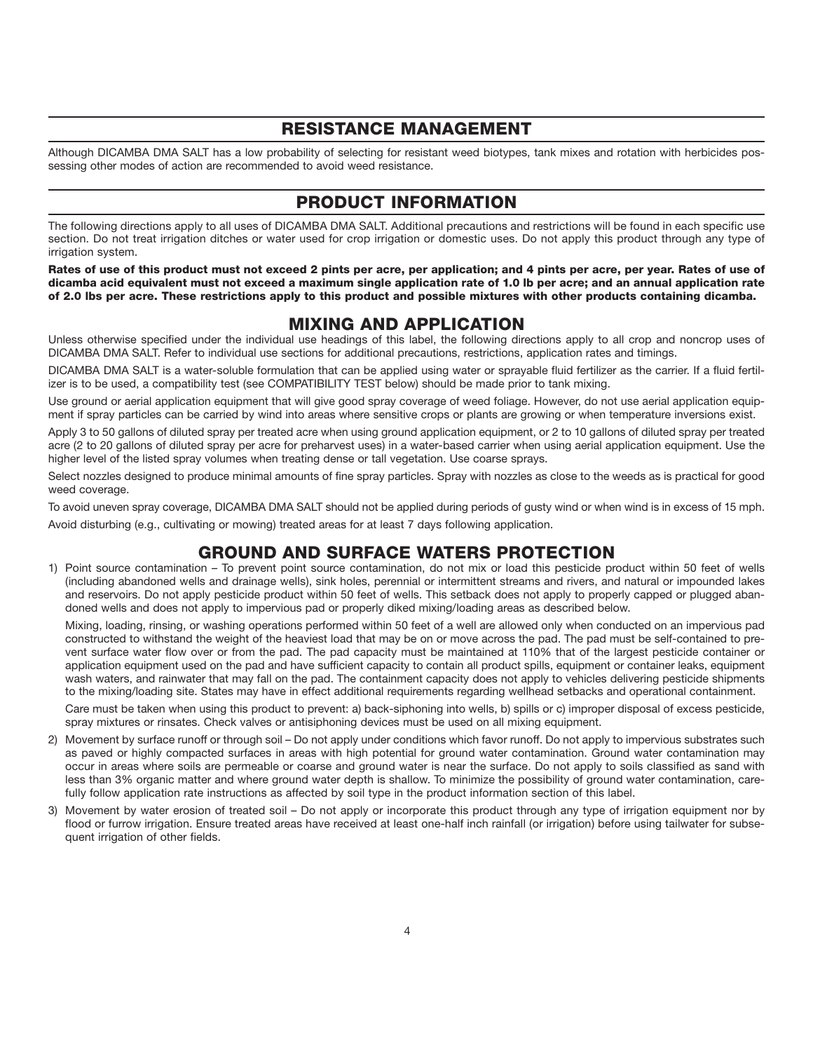# **RESISTANCE MANAGEMENT**

Although DICAMBA DMA SALT has a low probability of selecting for resistant weed biotypes, tank mixes and rotation with herbicides possessing other modes of action are recommended to avoid weed resistance.

# **PRODUCT INFORMATION**

The following directions apply to all uses of DICAMBA DMA SALT. Additional precautions and restrictions will be found in each specific use section. Do not treat irrigation ditches or water used for crop irrigation or domestic uses. Do not apply this product through any type of irrigation system.

**Rates of use of this product must not exceed 2 pints per acre, per application; and 4 pints per acre, per year. Rates of use of dicamba acid equivalent must not exceed a maximum single application rate of 1.0 lb per acre; and an annual application rate of 2.0 lbs per acre. These restrictions apply to this product and possible mixtures with other products containing dicamba.**

# **MIXING AND APPLICATION**

Unless otherwise specified under the individual use headings of this label, the following directions apply to all crop and noncrop uses of DICAMBA DMA SALT. Refer to individual use sections for additional precautions, restrictions, application rates and timings.

DICAMBA DMA SALT is a water-soluble formulation that can be applied using water or sprayable fluid fertilizer as the carrier. If a fluid fertilizer is to be used, a compatibility test (see COMPATIBILITY TEST below) should be made prior to tank mixing.

Use ground or aerial application equipment that will give good spray coverage of weed foliage. However, do not use aerial application equipment if spray particles can be carried by wind into areas where sensitive crops or plants are growing or when temperature inversions exist.

Apply 3 to 50 gallons of diluted spray per treated acre when using ground application equipment, or 2 to 10 gallons of diluted spray per treated acre (2 to 20 gallons of diluted spray per acre for preharvest uses) in a water-based carrier when using aerial application equipment. Use the higher level of the listed spray volumes when treating dense or tall vegetation. Use coarse sprays.

Select nozzles designed to produce minimal amounts of fine spray particles. Spray with nozzles as close to the weeds as is practical for good weed coverage.

To avoid uneven spray coverage, DICAMBA DMA SALT should not be applied during periods of gusty wind or when wind is in excess of 15 mph.

Avoid disturbing (e.g., cultivating or mowing) treated areas for at least 7 days following application.

# **GROUND AND SURFACE WATERS PROTECTION**

1) Point source contamination – To prevent point source contamination, do not mix or load this pesticide product within 50 feet of wells (including abandoned wells and drainage wells), sink holes, perennial or intermittent streams and rivers, and natural or impounded lakes and reservoirs. Do not apply pesticide product within 50 feet of wells. This setback does not apply to properly capped or plugged abandoned wells and does not apply to impervious pad or properly diked mixing/loading areas as described below.

Mixing, loading, rinsing, or washing operations performed within 50 feet of a well are allowed only when conducted on an impervious pad constructed to withstand the weight of the heaviest load that may be on or move across the pad. The pad must be self-contained to prevent surface water flow over or from the pad. The pad capacity must be maintained at 110% that of the largest pesticide container or application equipment used on the pad and have sufficient capacity to contain all product spills, equipment or container leaks, equipment wash waters, and rainwater that may fall on the pad. The containment capacity does not apply to vehicles delivering pesticide shipments to the mixing/loading site. States may have in effect additional requirements regarding wellhead setbacks and operational containment.

Care must be taken when using this product to prevent: a) back-siphoning into wells, b) spills or c) improper disposal of excess pesticide, spray mixtures or rinsates. Check valves or antisiphoning devices must be used on all mixing equipment.

- 2) Movement by surface runoff or through soil Do not apply under conditions which favor runoff. Do not apply to impervious substrates such as paved or highly compacted surfaces in areas with high potential for ground water contamination. Ground water contamination may occur in areas where soils are permeable or coarse and ground water is near the surface. Do not apply to soils classified as sand with less than 3% organic matter and where ground water depth is shallow. To minimize the possibility of ground water contamination, carefully follow application rate instructions as affected by soil type in the product information section of this label.
- 3) Movement by water erosion of treated soil Do not apply or incorporate this product through any type of irrigation equipment nor by flood or furrow irrigation. Ensure treated areas have received at least one-half inch rainfall (or irrigation) before using tailwater for subsequent irrigation of other fields.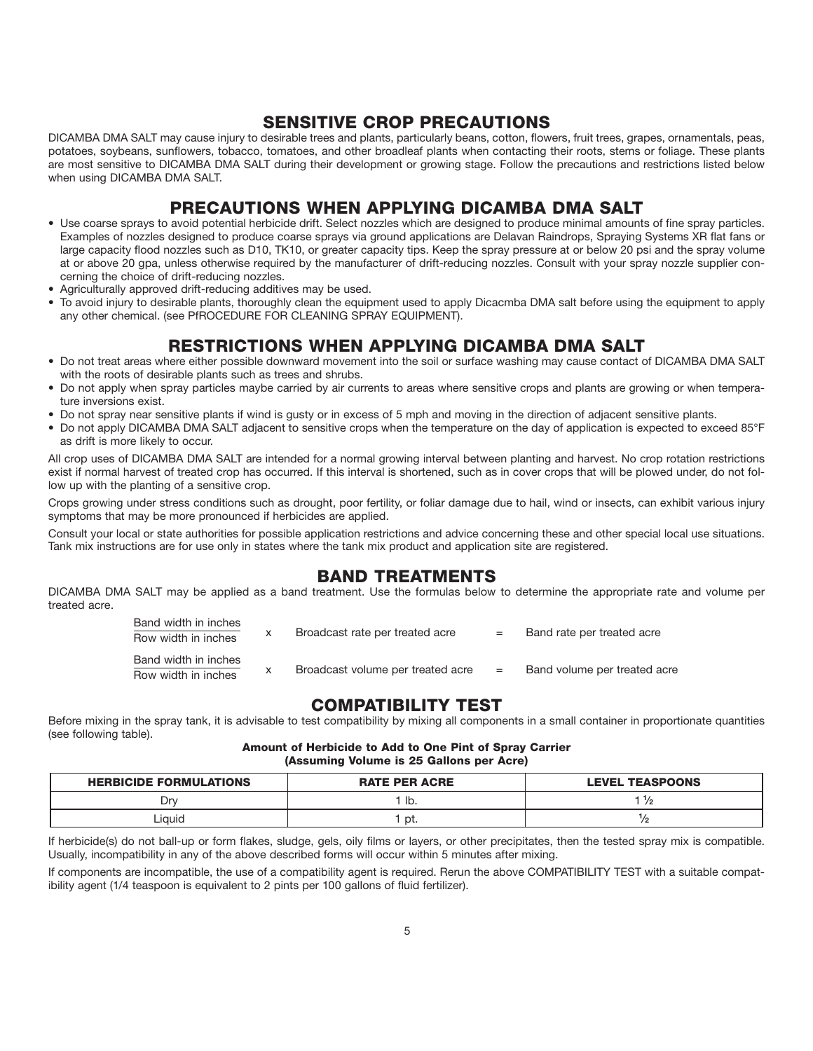# **SENSITIVE CROP PRECAUTIONS**

DICAMBA DMA SALT may cause injury to desirable trees and plants, particularly beans, cotton, flowers, fruit trees, grapes, ornamentals, peas, potatoes, soybeans, sunflowers, tobacco, tomatoes, and other broadleaf plants when contacting their roots, stems or foliage. These plants are most sensitive to DICAMBA DMA SALT during their development or growing stage. Follow the precautions and restrictions listed below when using DICAMBA DMA SALT.

# **PRECAUTIONS WHEN APPLYING DICAMBA DMA SALT**

- Use coarse sprays to avoid potential herbicide drift. Select nozzles which are designed to produce minimal amounts of fine spray particles. Examples of nozzles designed to produce coarse sprays via ground applications are Delavan Raindrops, Spraying Systems XR flat fans or large capacity flood nozzles such as D10, TK10, or greater capacity tips. Keep the spray pressure at or below 20 psi and the spray volume at or above 20 gpa, unless otherwise required by the manufacturer of drift-reducing nozzles. Consult with your spray nozzle supplier concerning the choice of drift-reducing nozzles.
- Agriculturally approved drift-reducing additives may be used.
- To avoid injury to desirable plants, thoroughly clean the equipment used to apply Dicacmba DMA salt before using the equipment to apply any other chemical. (see PfROCEDURE FOR CLEANING SPRAY EQUIPMENT).

# **RESTRICTIONS WHEN APPLYING DICAMBA DMA SALT**

- Do not treat areas where either possible downward movement into the soil or surface washing may cause contact of DICAMBA DMA SALT with the roots of desirable plants such as trees and shrubs.
- Do not apply when spray particles maybe carried by air currents to areas where sensitive crops and plants are growing or when temperature inversions exist.
- Do not spray near sensitive plants if wind is gusty or in excess of 5 mph and moving in the direction of adjacent sensitive plants.
- Do not apply DICAMBA DMA SALT adjacent to sensitive crops when the temperature on the day of application is expected to exceed 85°F as drift is more likely to occur.

All crop uses of DICAMBA DMA SALT are intended for a normal growing interval between planting and harvest. No crop rotation restrictions exist if normal harvest of treated crop has occurred. If this interval is shortened, such as in cover crops that will be plowed under, do not follow up with the planting of a sensitive crop.

Crops growing under stress conditions such as drought, poor fertility, or foliar damage due to hail, wind or insects, can exhibit various injury symptoms that may be more pronounced if herbicides are applied.

Consult your local or state authorities for possible application restrictions and advice concerning these and other special local use situations. Tank mix instructions are for use only in states where the tank mix product and application site are registered.

# **BAND TREATMENTS**

DICAMBA DMA SALT may be applied as a band treatment. Use the formulas below to determine the appropriate rate and volume per treated acre.

| Band width in inches<br>Row width in inches | Broadcast rate per treated acre   | $=$ | Band rate per treated acre   |
|---------------------------------------------|-----------------------------------|-----|------------------------------|
| Band width in inches<br>Row width in inches | Broadcast volume per treated acre | $=$ | Band volume per treated acre |

# **COMPATIBILITY TEST**

Before mixing in the spray tank, it is advisable to test compatibility by mixing all components in a small container in proportionate quantities (see following table).

**Amount of Herbicide to Add to One Pint of Spray Carrier (Assuming Volume is 25 Gallons per Acre)**

| <b>HERBICIDE FORMULATIONS</b> | <b>RATE PER ACRE</b> | <b>LEVEL TEASPOONS</b> |
|-------------------------------|----------------------|------------------------|
| `vr                           | ' Ib.                |                        |
| Liauid                        | pt.                  | פ/י                    |

If herbicide(s) do not ball-up or form flakes, sludge, gels, oily films or layers, or other precipitates, then the tested spray mix is compatible. Usually, incompatibility in any of the above described forms will occur within 5 minutes after mixing.

If components are incompatible, the use of a compatibility agent is required. Rerun the above COMPATIBILITY TEST with a suitable compatibility agent (1/4 teaspoon is equivalent to 2 pints per 100 gallons of fluid fertilizer).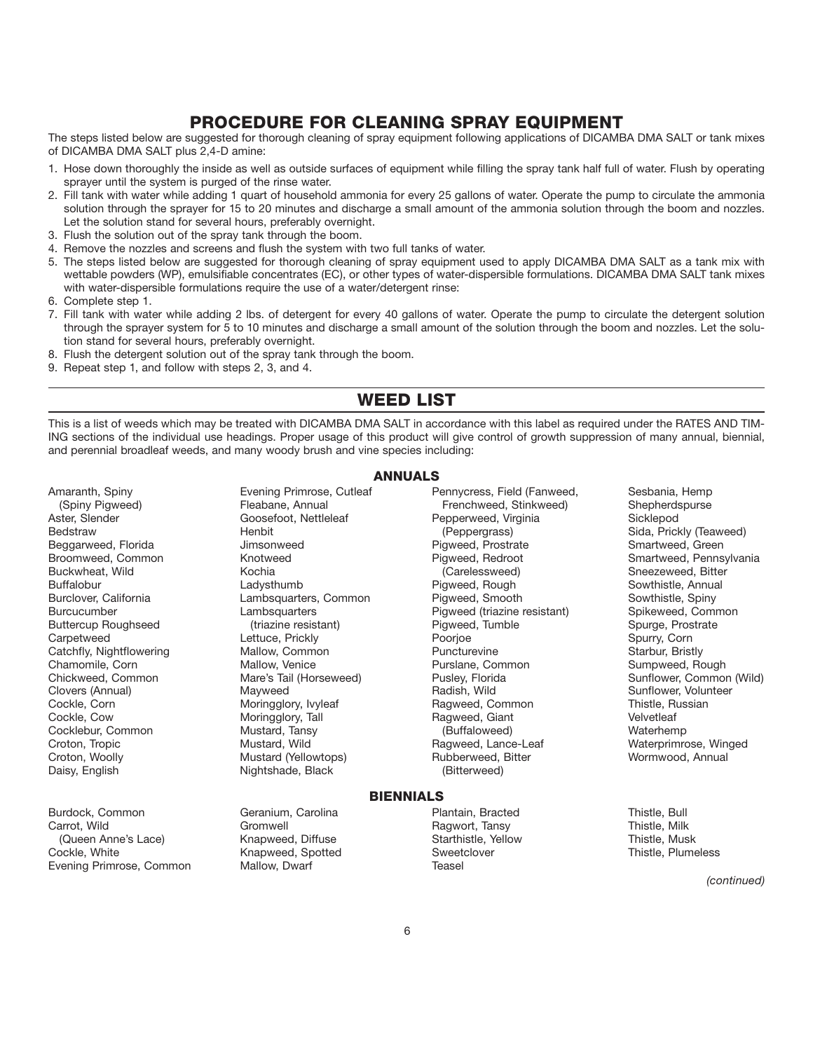# **PROCEDURE FOR CLEANING SPRAY EQUIPMENT**

The steps listed below are suggested for thorough cleaning of spray equipment following applications of DICAMBA DMA SALT or tank mixes of DICAMBA DMA SALT plus 2,4-D amine:

- 1. Hose down thoroughly the inside as well as outside surfaces of equipment while filling the spray tank half full of water. Flush by operating sprayer until the system is purged of the rinse water.
- 2. Fill tank with water while adding 1 quart of household ammonia for every 25 gallons of water. Operate the pump to circulate the ammonia solution through the sprayer for 15 to 20 minutes and discharge a small amount of the ammonia solution through the boom and nozzles. Let the solution stand for several hours, preferably overnight.
- 3. Flush the solution out of the spray tank through the boom.
- 4. Remove the nozzles and screens and flush the system with two full tanks of water.
- 5. The steps listed below are suggested for thorough cleaning of spray equipment used to apply DICAMBA DMA SALT as a tank mix with wettable powders (WP), emulsifiable concentrates (EC), or other types of water-dispersible formulations. DICAMBA DMA SALT tank mixes with water-dispersible formulations require the use of a water/detergent rinse:
- 6. Complete step 1.
- 7. Fill tank with water while adding 2 lbs. of detergent for every 40 gallons of water. Operate the pump to circulate the detergent solution through the sprayer system for 5 to 10 minutes and discharge a small amount of the solution through the boom and nozzles. Let the solution stand for several hours, preferably overnight.
- 8. Flush the detergent solution out of the spray tank through the boom.
- 9. Repeat step 1, and follow with steps 2, 3, and 4.

# **WEED LIST**

This is a list of weeds which may be treated with DICAMBA DMA SALT in accordance with this label as required under the RATES AND TIM-ING sections of the individual use headings. Proper usage of this product will give control of growth suppression of many annual, biennial, and perennial broadleaf weeds, and many woody brush and vine species including:

**ANNUALS**

Amaranth, Spiny **Exening Primrose, Cutleaf Pennycress, Field (Fanweed,** Sesbania, Hemp

Burdock, Common Geranium, Carolina Plantain, Bracted Thistle, Bull Carrot, Wild Gromwell Gromwell (Gromwell Ragwort, Tansy Thistle, Milk Thistle, Milk Gromwell Ragwort, Tansy Thistle, Musk<br>Cueen Anne's Lace) (Gueen Anne's Lace) Knapweed, Diffuse (Gromme Starthistle, Yellow (Queen Anne's Lace) Knapweed, Diffuse Starthistle, Yellow Thistle, Musk Evening Primrose, Common Mallow, Dwarf Teasel

(Spiny Pigweed) Fleabane, Annual Frenchweed, Stinkweed) Shepherdspurse Bedstraw **Henbit** Henbit (Peppergrass) Sida, Prickly (Teaweed) Beggarweed, Florida Jimsonweed Pigweed, Prostrate Smartweed, Green Broomweed, Common Knotweed Pigweed, Redroot Smartweed, Pennsylvania Buffalobur Ladysthumb Pigweed, Rough Sowthistle, Annual Burclover, California Lambsquarters, Common Pigweed, Smooth Sowthistle, Spiny Lambsquarters Pigweed (triazine resistant) Buttercup Roughseed (triazine resistant) and Pigweed, Tumble Spurge, Prostrate Spurge, Prostrate Spurge, Prostrate Carpetweed (triazine resistant) and Poorioe (Spurry, Corn Carpetweed Lettuce, Prickly Poorjoe Spurry, Corn Catchfly, Nightflowering Mallow, Common Puncturevine Puncturevine Starbur, Bristly<br>Chamomile, Corn Mallow, Venice Purslane, Common Sumpweed, Ro Chamomile, Corn Chamomile, Corn Mallow, Venice Purslane, Common Sumpweed, Rough<br>Chickweed, Common Mare's Tail (Horseweed) Pusley, Florida Chickweed, Sunflower, Common Chickweed, Common Mare's Tail (Horseweed) Pusley, Florida Sunflower, Common (Wild)<br>Clovers (Annual) Sunflower, Volunteer Maxweed Radish. Wild Sunflower, Volunteer Cockle, Corn (Entity of Moringglory, Ivyleaf Ragweed, Common Thistle, Russian Cockle, Corn (Entity Article, Russian Cockle, Cow<br>Cockle, Cow (Moringglory, Tall Ragweed, Giant Resource Velvetleaf Cocklebur, Common Mustard, Tansy (Buffaloweed)<br>Croton, Tropic Common Mustard, Wild Ragweed, Lance-Leaf Croton, Tropic **Croton, Tropic Mustard, Wild Ragweed, Lance-Leaf** Waterprimrose, Winged<br>Croton, Woolly Croton, Woolly Mustard (Yellowtops) Rubberweed, Bitter Wormwood, Annual Mustard (Yellowtops) Daisy, English **Nightshade, Black** (Bitterweed)

Knapweed, Spotted

Pepperweed, Virginia<br>(Peppergrass) Kochia **Buckwheat, Wild Kochia (Carelessweed)** Sneezeweed, Bitter Pigweed (triazine resistant) Clovers (Annual) Mayweed Radish, Wild Sunflower, Volunteer Cockle, Cow Moringglory, Tall Ragweed, Giant Velvetleaf

**BIENNIALS**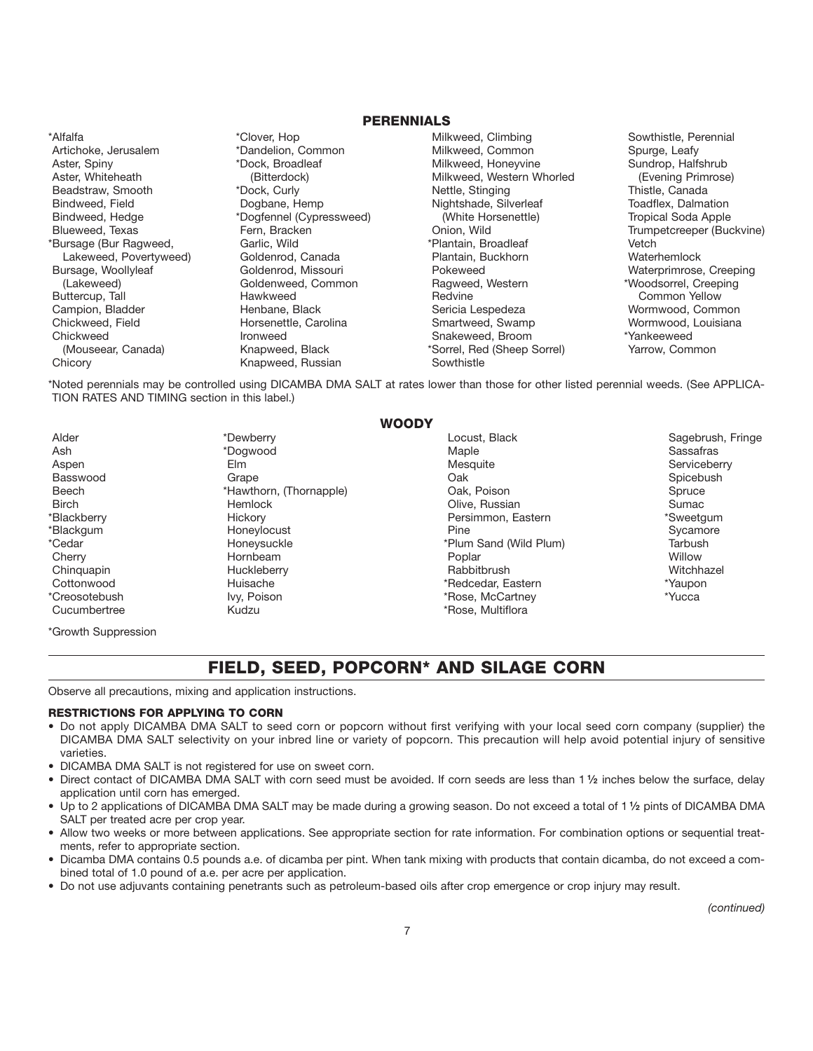#### **PERENNIALS**

Artichoke, Jerusalem **\*Dandelion, Common** Milkweed, Common Spurge, Leafy Aster, Spiny Milkweed, Honeyvine Sundrop, Halfshrub (Bitterdock) Milkweed, Honeyvine Sundrop, Halfshrub (Sundrop, Halfshrub<br>Aster, Whiteheath (Bitterdock) (Bitterdock) Milkweed, Western Whorled (Evening Primrose Beadstraw, Smooth Bindweed, Field **State Of Communist Communist Communist Communist Communist Communist Communist Communist Communist Communist Communist Communist Communist Communist Communist Communist Communist Communist Communist Commun** Blueweed, Texas **Fern, Bracken Community Christ** Chion, Wild Trumpetcreeper (Buckvine)<br>Fursage (Bur Ragweed, Garlic, Wild Trumpet of Trumpetcreeper (Buckvine) \*Bursage (Bur Ragweed, Garlic, Wild \*Plantain, Broadleaf Vetch Lakeweed, Povertyweed) Goldenrod, Canada Plantain, Bursage, Woollyleaf Canada Polenrod, Missouri Buttercup, Tall Hawkweed Redvine Common Yellow Chickweed, Field **Horsenettle, Carolina** Smartweed, Swamp Wormwood, Louisiana<br>Chickweed **Morthware Shakeweed, Broom** Markeweed, Broom Markeweed

\*Alfalfa \*Clover, Hop \*Clover, Hop Milkweed, Climbing \* Sowthistle, Perennial \* 3 Aster and Milkweed, Western Whorled (Evening Primrose)<br>
Astern Whorled (Evening Primrose)<br>
Mettle, Stinging Charles Thistle, Canada \*Dogfennel (Cypressweed) (Lakeweed) Goldenweed, Common Ragweed, Western \*Woodsorrel, Creeping Ironweed **Ironweed** Snakeweed, Broom (Mouseear, Canada) Knapweed, Black \*Sorrel, Red (Sheep Sorrel) Yarrow, Common Chicory **Knapweed, Russian Sowthistle** Sowthistle

Henbane, Black **Campion, Black Sericia Lespedeza** Common, Black Sericia Lespedeza

Waterprimrose, Creeping

\*Noted perennials may be controlled using DICAMBA DMA SALT at rates lower than those for other listed perennial weeds. (See APPLICA-TION RATES AND TIMING section in this label.)

**WOODY**

Cucumbertree **Kudzu** Kudzu **Kudzu Kudzu** Kudzu **Kudzu Kudzu** Kudzu Kudzu Kudzu Kudzu Kudzu Kudzu Kudzu Kudzu Kudzu

Alder \*Dewberry Locust, Black Sagebrush, Fringe Ash \*Dogwood Maple Sassafras Aspen Elm Mesquite Serviceberry Basswood Grape Oak Spicebush Beech **Example** \*Hawthorn, (Thornapple) **Cak, Poison Channel Spruce** Spruce Birch Einstein Hemlock (Barnett Chive, Russian Sumac Sumac Sumac \*Blackberry Hickory Persimmon, Eastern \*Sweetgum \*Blackgum Honeylocust Pine Sycamore \*Cedar Honeysuckle \*Plum Sand (Wild Plum) Tarbush Cherry **Example 20 Cherry Hornbeam Cherry Poplar** Poplar Poplar Poplar Willow Chinquapin Huckleberry Rabbitbrush Witchhazel Cottonwood Huisache \*Redcedar, Eastern \*Yaupon \*Creosotebush Ivy, Poison \*Yucca \*Yucca

\*Growth Suppression

# **FIELD, SEED, POPCORN\* AND SILAGE CORN**

Observe all precautions, mixing and application instructions.

#### **RESTRICTIONS FOR APPLYING TO CORN**

- Do not apply DICAMBA DMA SALT to seed corn or popcorn without first verifying with your local seed corn company (supplier) the DICAMBA DMA SALT selectivity on your inbred line or variety of popcorn. This precaution will help avoid potential injury of sensitive varieties.
- DICAMBA DMA SALT is not registered for use on sweet corn.
- Direct contact of DICAMBA DMA SALT with corn seed must be avoided. If corn seeds are less than 1 **1⁄2** inches below the surface, delay application until corn has emerged.
- Up to 2 applications of DICAMBA DMA SALT may be made during a growing season. Do not exceed a total of 1 **1⁄2** pints of DICAMBA DMA SALT per treated acre per crop year.
- Allow two weeks or more between applications. See appropriate section for rate information. For combination options or sequential treatments, refer to appropriate section.
- Dicamba DMA contains 0.5 pounds a.e. of dicamba per pint. When tank mixing with products that contain dicamba, do not exceed a combined total of 1.0 pound of a.e. per acre per application.
- Do not use adjuvants containing penetrants such as petroleum-based oils after crop emergence or crop injury may result.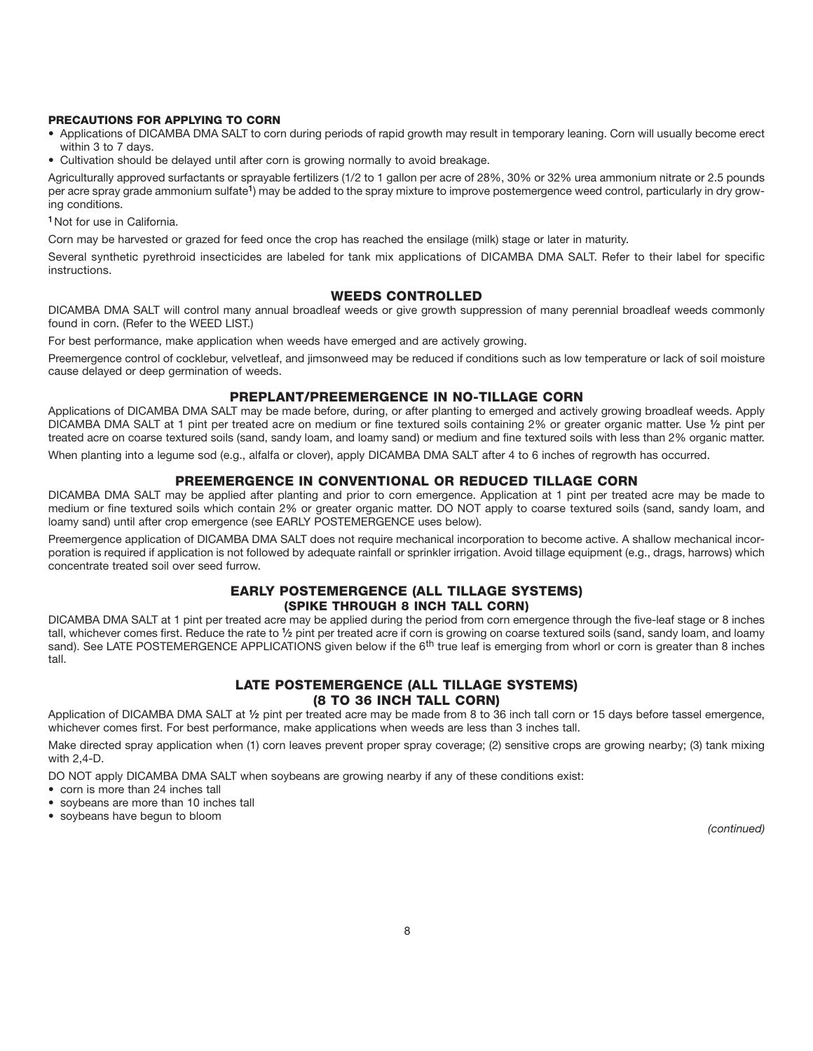#### **PRECAUTIONS FOR APPLYING TO CORN**

- Applications of DICAMBA DMA SALT to corn during periods of rapid growth may result in temporary leaning. Corn will usually become erect within 3 to 7 days.
- Cultivation should be delayed until after corn is growing normally to avoid breakage.

Agriculturally approved surfactants or sprayable fertilizers (1/2 to 1 gallon per acre of 28%, 30% or 32% urea ammonium nitrate or 2.5 pounds per acre spray grade ammonium sulfate**1**) may be added to the spray mixture to improve postemergence weed control, particularly in dry growing conditions.

**<sup>1</sup>**Not for use in California.

Corn may be harvested or grazed for feed once the crop has reached the ensilage (milk) stage or later in maturity.

Several synthetic pyrethroid insecticides are labeled for tank mix applications of DICAMBA DMA SALT. Refer to their label for specific instructions.

#### **WEEDS CONTROLLED**

DICAMBA DMA SALT will control many annual broadleaf weeds or give growth suppression of many perennial broadleaf weeds commonly found in corn. (Refer to the WEED LIST.)

For best performance, make application when weeds have emerged and are actively growing.

Preemergence control of cocklebur, velvetleaf, and jimsonweed may be reduced if conditions such as low temperature or lack of soil moisture cause delayed or deep germination of weeds.

#### **PREPLANT/PREEMERGENCE IN NO-TILLAGE CORN**

Applications of DICAMBA DMA SALT may be made before, during, or after planting to emerged and actively growing broadleaf weeds. Apply DICAMBA DMA SALT at 1 pint per treated acre on medium or fine textured soils containing 2% or greater organic matter. Use **1⁄2** pint per treated acre on coarse textured soils (sand, sandy loam, and loamy sand) or medium and fine textured soils with less than 2% organic matter.

When planting into a legume sod (e.g., alfalfa or clover), apply DICAMBA DMA SALT after 4 to 6 inches of regrowth has occurred.

#### **PREEMERGENCE IN CONVENTIONAL OR REDUCED TILLAGE CORN**

DICAMBA DMA SALT may be applied after planting and prior to corn emergence. Application at 1 pint per treated acre may be made to medium or fine textured soils which contain 2% or greater organic matter. DO NOT apply to coarse textured soils (sand, sandy loam, and loamy sand) until after crop emergence (see EARLY POSTEMERGENCE uses below).

Preemergence application of DICAMBA DMA SALT does not require mechanical incorporation to become active. A shallow mechanical incorporation is required if application is not followed by adequate rainfall or sprinkler irrigation. Avoid tillage equipment (e.g., drags, harrows) which concentrate treated soil over seed furrow.

#### **EARLY POSTEMERGENCE (ALL TILLAGE SYSTEMS) (SPIKE THROUGH 8 INCH TALL CORN)**

DICAMBA DMA SALT at 1 pint per treated acre may be applied during the period from corn emergence through the five-leaf stage or 8 inches tall, whichever comes first. Reduce the rate to **1⁄2** pint per treated acre if corn is growing on coarse textured soils (sand, sandy loam, and loamy sand). See LATE POSTEMERGENCE APPLICATIONS given below if the 6<sup>th</sup> true leaf is emerging from whorl or corn is greater than 8 inches tall.

#### **LATE POSTEMERGENCE (ALL TILLAGE SYSTEMS) (8 TO 36 INCH TALL CORN)**

Application of DICAMBA DMA SALT at **1⁄2** pint per treated acre may be made from 8 to 36 inch tall corn or 15 days before tassel emergence, whichever comes first. For best performance, make applications when weeds are less than 3 inches tall.

Make directed spray application when (1) corn leaves prevent proper spray coverage; (2) sensitive crops are growing nearby; (3) tank mixing with 2,4-D.

DO NOT apply DICAMBA DMA SALT when soybeans are growing nearby if any of these conditions exist:

- corn is more than 24 inches tall
- soybeans are more than 10 inches tall
- soybeans have begun to bloom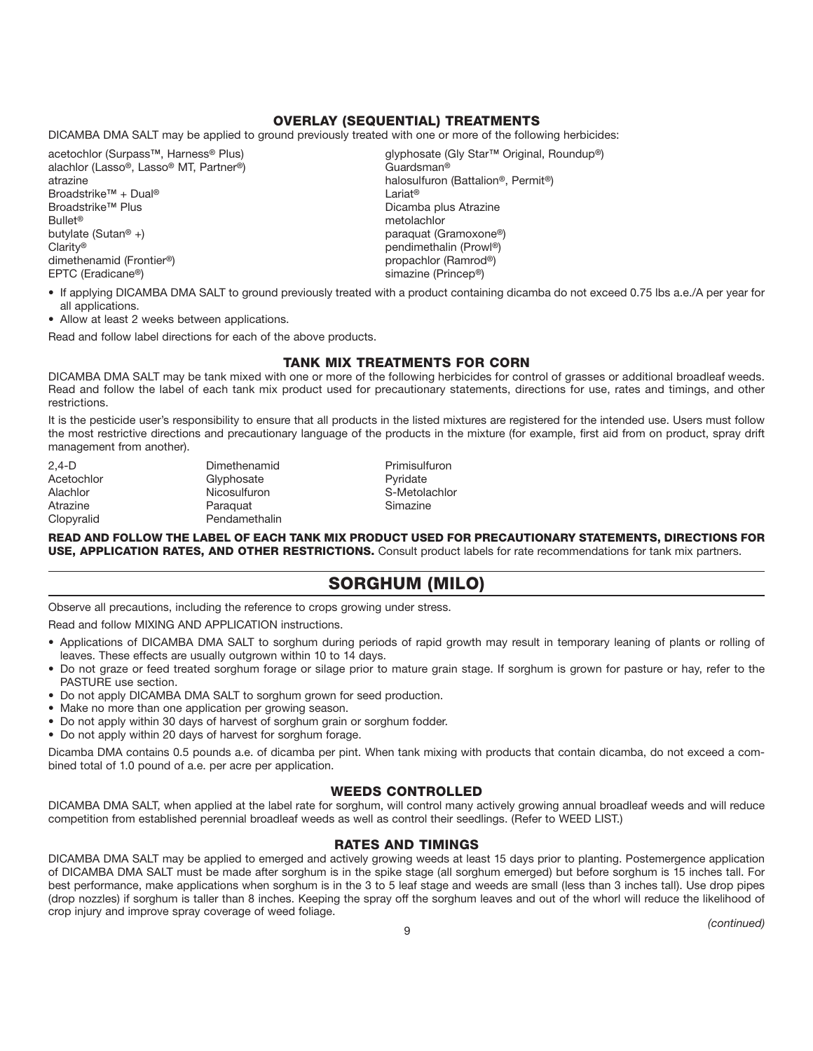#### **OVERLAY (SEQUENTIAL) TREATMENTS**

DICAMBA DMA SALT may be applied to ground previously treated with one or more of the following herbicides:

alachlor (Lasso**®**, Lasso**®** MT, Partner**®**) Guardsman**®** atrazine halosulfuron (Battalion**®**, Permit**®**) **Broadstrike<sup>™</sup> + Dual<sup>®</sup>**<br>Broadstrike<sup>™</sup> Plus Bullet**®** metolachlor Clarity**®** pendimethalin (Prowl**®**)  $dimensioned$  (Frontier<sup>®</sup>) EPTC (Eradicane**®**) simazine (Princep**®**)

acetochlor (Surpass**™**, Harness**®** Plus) glyphosate (Gly Star**™** Original, Roundup**®**) Dicamba plus Atrazine butylate (Sutan**®** +) paraquat (Gramoxone**®**)

- If applying DICAMBA DMA SALT to ground previously treated with a product containing dicamba do not exceed 0.75 lbs a.e./A per year for all applications.
- Allow at least 2 weeks between applications.

Read and follow label directions for each of the above products.

#### **TANK MIX TREATMENTS FOR CORN**

DICAMBA DMA SALT may be tank mixed with one or more of the following herbicides for control of grasses or additional broadleaf weeds. Read and follow the label of each tank mix product used for precautionary statements, directions for use, rates and timings, and other restrictions.

It is the pesticide user's responsibility to ensure that all products in the listed mixtures are registered for the intended use. Users must follow the most restrictive directions and precautionary language of the products in the mixture (for example, first aid from on product, spray drift management from another).

Atrazine **Paraquat** Clopyralid Pendamethalin

2,4-D Dimethenamid Primisulfuron Acetochlor Glyphosate Glyphosate Pyridate Alachlor Nicosulfuron S-Metolachlor

READ AND FOLLOW THE LABEL OF EACH TANK MIX PRODUCT USED FOR PRECAUTIONARY STATEMENTS, DIRECTIONS FOR **USE, APPLICATION RATES, AND OTHER RESTRICTIONS.** Consult product labels for rate recommendations for tank mix partners.

# **SORGHUM (MILO)**

Observe all precautions, including the reference to crops growing under stress.

Read and follow MIXING AND APPLICATION instructions.

- Applications of DICAMBA DMA SALT to sorghum during periods of rapid growth may result in temporary leaning of plants or rolling of leaves. These effects are usually outgrown within 10 to 14 days.
- Do not graze or feed treated sorghum forage or silage prior to mature grain stage. If sorghum is grown for pasture or hay, refer to the PASTURE use section.
- Do not apply DICAMBA DMA SALT to sorghum grown for seed production.
- Make no more than one application per growing season.
- Do not apply within 30 days of harvest of sorghum grain or sorghum fodder.
- Do not apply within 20 days of harvest for sorghum forage.

Dicamba DMA contains 0.5 pounds a.e. of dicamba per pint. When tank mixing with products that contain dicamba, do not exceed a combined total of 1.0 pound of a.e. per acre per application.

#### **WEEDS CONTROLLED**

DICAMBA DMA SALT, when applied at the label rate for sorghum, will control many actively growing annual broadleaf weeds and will reduce competition from established perennial broadleaf weeds as well as control their seedlings. (Refer to WEED LIST.)

#### **RATES AND TIMINGS**

DICAMBA DMA SALT may be applied to emerged and actively growing weeds at least 15 days prior to planting. Postemergence application of DICAMBA DMA SALT must be made after sorghum is in the spike stage (all sorghum emerged) but before sorghum is 15 inches tall. For best performance, make applications when sorghum is in the 3 to 5 leaf stage and weeds are small (less than 3 inches tall). Use drop pipes (drop nozzles) if sorghum is taller than 8 inches. Keeping the spray off the sorghum leaves and out of the whorl will reduce the likelihood of crop injury and improve spray coverage of weed foliage.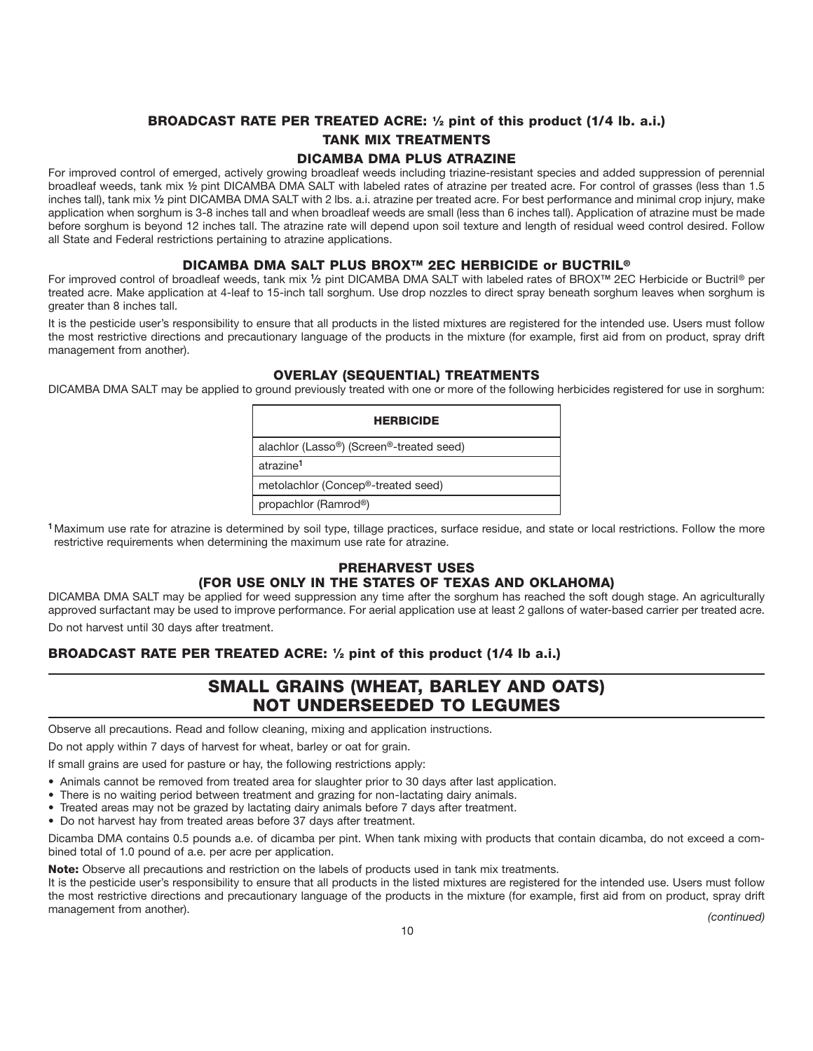# **BROADCAST RATE PER TREATED ACRE: 1⁄2 pint of this product (1/4 lb. a.i.) TANK MIX TREATMENTS**

#### **DICAMBA DMA PLUS ATRAZINE**

For improved control of emerged, actively growing broadleaf weeds including triazine-resistant species and added suppression of perennial broadleaf weeds, tank mix **½** pint DICAMBA DMA SALT with labeled rates of atrazine per treated acre. For control of grasses (less than 1.5 inches tall), tank mix **1⁄2** pint DICAMBA DMA SALT with 2 lbs. a.i. atrazine per treated acre. For best performance and minimal crop injury, make application when sorghum is 3-8 inches tall and when broadleaf weeds are small (less than 6 inches tall). Application of atrazine must be made before sorghum is beyond 12 inches tall. The atrazine rate will depend upon soil texture and length of residual weed control desired. Follow all State and Federal restrictions pertaining to atrazine applications.

#### **DICAMBA DMA SALT PLUS BROX™ 2EC HERBICIDE or BUCTRIL®**

For improved control of broadleaf weeds, tank mix **1⁄2** pint DICAMBA DMA SALT with labeled rates of BROX**™** 2EC Herbicide or Buctril**®** per treated acre. Make application at 4-leaf to 15-inch tall sorghum. Use drop nozzles to direct spray beneath sorghum leaves when sorghum is greater than 8 inches tall.

It is the pesticide user's responsibility to ensure that all products in the listed mixtures are registered for the intended use. Users must follow the most restrictive directions and precautionary language of the products in the mixture (for example, first aid from on product, spray drift management from another).

#### **OVERLAY (SEQUENTIAL) TREATMENTS**

DICAMBA DMA SALT may be applied to ground previously treated with one or more of the following herbicides registered for use in sorghum:

| <b>HERBICIDE</b>                                |
|-------------------------------------------------|
| alachlor (Lasso®) (Screen®-treated seed)        |
| atrazine <sup>1</sup>                           |
| metolachlor (Concep <sup>®</sup> -treated seed) |
| propachlor (Ramrod <sup>®</sup> )               |

**<sup>1</sup>**Maximum use rate for atrazine is determined by soil type, tillage practices, surface residue, and state or local restrictions. Follow the more restrictive requirements when determining the maximum use rate for atrazine.

#### **PREHARVEST USES (FOR USE ONLY IN THE STATES OF TEXAS AND OKLAHOMA)**

DICAMBA DMA SALT may be applied for weed suppression any time after the sorghum has reached the soft dough stage. An agriculturally approved surfactant may be used to improve performance. For aerial application use at least 2 gallons of water-based carrier per treated acre. Do not harvest until 30 days after treatment.

**BROADCAST RATE PER TREATED ACRE: 1⁄2 pint of this product (1/4 lb a.i.)**

# **SMALL GRAINS (WHEAT, BARLEY AND OATS) NOT UNDERSEEDED TO LEGUMES**

Observe all precautions. Read and follow cleaning, mixing and application instructions.

Do not apply within 7 days of harvest for wheat, barley or oat for grain.

If small grains are used for pasture or hay, the following restrictions apply:

- Animals cannot be removed from treated area for slaughter prior to 30 days after last application.
- There is no waiting period between treatment and grazing for non-lactating dairy animals.
- Treated areas may not be grazed by lactating dairy animals before 7 days after treatment.
- Do not harvest hay from treated areas before 37 days after treatment.

Dicamba DMA contains 0.5 pounds a.e. of dicamba per pint. When tank mixing with products that contain dicamba, do not exceed a combined total of 1.0 pound of a.e. per acre per application.

**Note:** Observe all precautions and restriction on the labels of products used in tank mix treatments.

It is the pesticide user's responsibility to ensure that all products in the listed mixtures are registered for the intended use. Users must follow the most restrictive directions and precautionary language of the products in the mixture (for example, first aid from on product, spray drift management from another). *(continued)*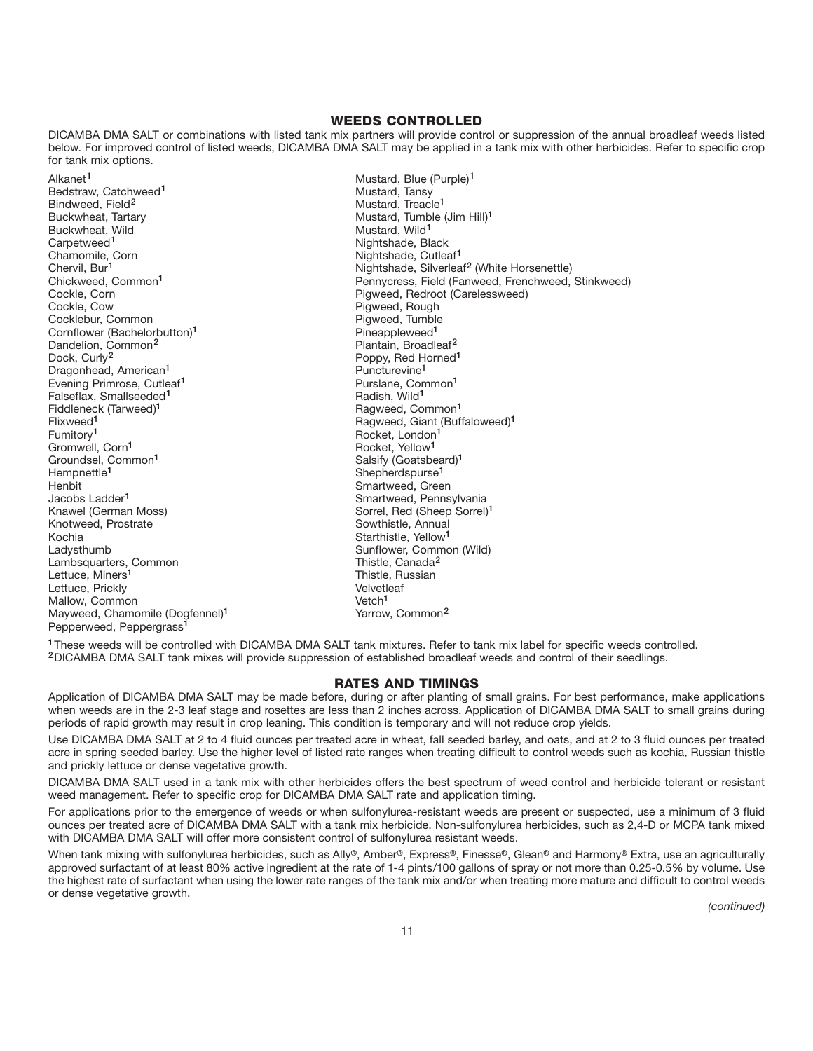#### **WEEDS CONTROLLED**

DICAMBA DMA SALT or combinations with listed tank mix partners will provide control or suppression of the annual broadleaf weeds listed below. For improved control of listed weeds, DICAMBA DMA SALT may be applied in a tank mix with other herbicides. Refer to specific crop for tank mix options.

Alkanet<sup>1</sup> Mustard, Blue (Purple)<sup>1</sup> Bedstraw, Catchweed<sup>1</sup> and Containers and Containers and Mustard, Tansy<br>Bindweed. Field<sup>2</sup> and Containers and Mustard. Treach Bindweed, Field<sup>2</sup> Mustard, Treacle<sup>1</sup><br>Buckwheat, Tartary Mustard, Treacle<sup>1</sup> Buckwheat, Wild<br>Carpetweed<sup>1</sup> Carpetweed<sup>1</sup> Nightshade, Black<br>
Chamomile, Corn Chamomic Corn Chamomic Corn Chamomic Corn Chamomic Corn Chamomic Corn Chamomic Corn Chamomic C Chamomile, Corn **Nightshade, Cutleaf<sup>1</sup>**<br>
Chervil, Bur<sup>1</sup> (Chervil, Bur<sup>1</sup> and Chervil, Burner, Nightshade, Silverlea Cockle, Corn **Pigweed, Redroot (Carelessweed)**<br>
Cockle, Cow **Pigweed, Rough Pigweed, Rough Pigweed**, Rough Cocklebur, Common Cornflower (Bachelorbutton)<sup>1</sup> Pineappleweed<sup>1</sup> Pineappleweed<sup>1</sup><br>
Dandelion, Common<sup>2</sup> Plantain, Broadle Dandelion, Common**<sup>2</sup>** Plantain, Broadleaf**<sup>2</sup>** Dragonhead, American**<sup>1</sup>** Puncturevine**<sup>1</sup>** Evening Primrose, Cutleaf<sup>1</sup> Purslane, Common<br>Falseflax, Smallseeded<sup>1</sup> Purslane, Padish, Wild<sup>1</sup> Falseflax, Smallseeded**<sup>1</sup>** Radish, Wild**<sup>1</sup>** Fiddleneck (Tarweed)<sup>1</sup><br>Flixweed<sup>1</sup> Flixweed<sup>1</sup> Communication Communication of Ragweed, Giant (Buffaloweed)<sup>1</sup><br>
Rocket, London<sup>1</sup> Rocket, London<sup>1</sup> Gromwell, Corn<sup>1</sup> and Corner and Corner and Corner and Corner and Corner and Corner and Corner and Corner and Co<br>19 Rocket, Yellow<sup>1</sup> and Corner and Corner and Corner and Corner and Corner and Corner and Corner and Corner Groundsel, Common<sup>1</sup> and Salsify (Goatsbeard)<sup>1</sup><br>
Hemonettle<sup>1</sup> shepherdspurse<sup>1</sup> Henbit Smartweed, Green Jacobs Ladder**<sup>1</sup>** Smartweed, Pennsylvania Knotweed, Prostrate Kochia **Kochia Starthistle, Yellow<sup>1</sup>**<br>Cadysthumb **Community Community Community Community** Sunflower, Community Lambsquarters, Common **Thistle, Canada<sup>2</sup>**<br>Lettuce, Miners<sup>1</sup> Lettuce, Miners<sup>1</sup> Lettuce, Prickly and The Common Control of the Velvetleaf Velvetleaf velocity of the Velvetleaf velocity of the Velvetleaf velocity of the Velvetleaf velocity of the Velvetleaf velocity of the Velvetleaf velocity of the Ve Mallow, Common version of Mallow, Common<sup>2</sup><br>Mayweed, Chamomile (Dogfennel)<sup>1</sup> version version version version version version version version version versio Mayweed, Chamomile (Dogfennel)<sup>1</sup> Pepperweed, Peppergrass**<sup>1</sup>**

Mustard, Tumble (Jim Hill)<sup>1</sup><br>Mustard, Wild<sup>1</sup> Chervil, Bur<sup>1</sup> Chervil, Bur<sup>1</sup> and Chervil, Bur<sup>1</sup> and Chervil, Burneaf<sup>2</sup> (White Horsenettle)<br>
Chickweed, Common<sup>1</sup> and Chervil Burneau Pennycress, Field (Fanweed, Frenchweed, Chickweed, Common**<sup>1</sup>** Pennycress, Field (Fanweed, Frenchweed, Stinkweed) Pigweed, Rough<br>Pigweed, Tumble Poppy, Red Horned<sup>1</sup><br>Puncturevine<sup>1</sup> Fumitory**<sup>1</sup>** Rocket, London**<sup>1</sup>** Shepherdspurse<sup>1</sup> Sorrel, Red (Sheep Sorrel)<sup>1</sup><br>Sowthistle, Annual Sunflower, Common (Wild)<br>Thistle, Canada<sup>2</sup>

**<sup>1</sup>**These weeds will be controlled with DICAMBA DMA SALT tank mixtures. Refer to tank mix label for specific weeds controlled. **<sup>2</sup>**DICAMBA DMA SALT tank mixes will provide suppression of established broadleaf weeds and control of their seedlings.

#### **RATES AND TIMINGS**

Application of DICAMBA DMA SALT may be made before, during or after planting of small grains. For best performance, make applications when weeds are in the 2-3 leaf stage and rosettes are less than 2 inches across. Application of DICAMBA DMA SALT to small grains during periods of rapid growth may result in crop leaning. This condition is temporary and will not reduce crop yields.

Use DICAMBA DMA SALT at 2 to 4 fluid ounces per treated acre in wheat, fall seeded barley, and oats, and at 2 to 3 fluid ounces per treated acre in spring seeded barley. Use the higher level of listed rate ranges when treating difficult to control weeds such as kochia, Russian thistle and prickly lettuce or dense vegetative growth.

DICAMBA DMA SALT used in a tank mix with other herbicides offers the best spectrum of weed control and herbicide tolerant or resistant weed management. Refer to specific crop for DICAMBA DMA SALT rate and application timing.

For applications prior to the emergence of weeds or when sulfonylurea-resistant weeds are present or suspected, use a minimum of 3 fluid ounces per treated acre of DICAMBA DMA SALT with a tank mix herbicide. Non-sulfonylurea herbicides, such as 2,4-D or MCPA tank mixed with DICAMBA DMA SALT will offer more consistent control of sulfonylurea resistant weeds.

When tank mixing with sulfonylurea herbicides, such as Ally**®**, Amber**®**, Express**®**, Finesse**®**, Glean**®** and Harmony**®** Extra, use an agriculturally approved surfactant of at least 80% active ingredient at the rate of 1-4 pints/100 gallons of spray or not more than 0.25-0.5% by volume. Use the highest rate of surfactant when using the lower rate ranges of the tank mix and/or when treating more mature and difficult to control weeds or dense vegetative growth.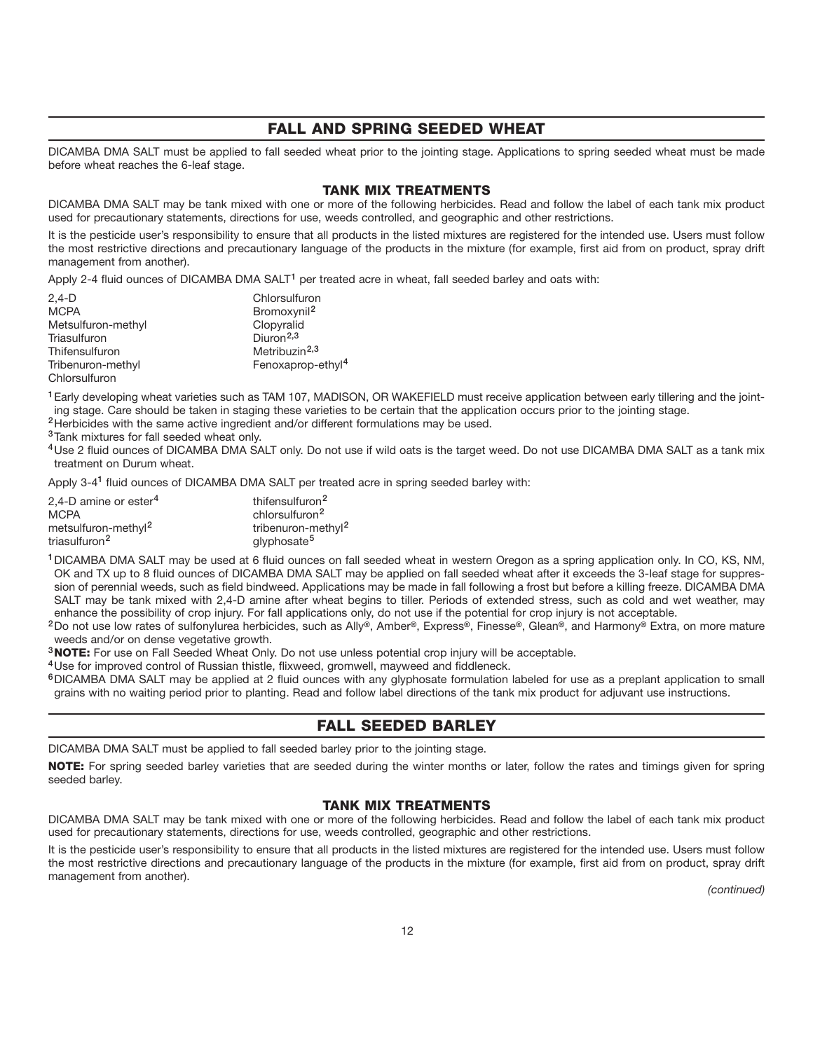#### **FALL AND SPRING SEEDED WHEAT**

DICAMBA DMA SALT must be applied to fall seeded wheat prior to the jointing stage. Applications to spring seeded wheat must be made before wheat reaches the 6-leaf stage.

#### **TANK MIX TREATMENTS**

DICAMBA DMA SALT may be tank mixed with one or more of the following herbicides. Read and follow the label of each tank mix product used for precautionary statements, directions for use, weeds controlled, and geographic and other restrictions.

It is the pesticide user's responsibility to ensure that all products in the listed mixtures are registered for the intended use. Users must follow the most restrictive directions and precautionary language of the products in the mixture (for example, first aid from on product, spray drift management from another).

Apply 2-4 fluid ounces of DICAMBA DMA SALT**<sup>1</sup>** per treated acre in wheat, fall seeded barley and oats with:

| $2,4-D$            | Chlorsulfuron                 |
|--------------------|-------------------------------|
| <b>MCPA</b>        | Bromoxynil <sup>2</sup>       |
| Metsulfuron-methyl | Clopyralid                    |
| Triasulfuron       | Diuron <sup>2,3</sup>         |
| Thifensulfuron     | Metribuzin <sup>2,3</sup>     |
| Tribenuron-methyl  | Fenoxaprop-ethyl <sup>4</sup> |
| Chlorsulfuron      |                               |

**<sup>1</sup>**Early developing wheat varieties such as TAM 107, MADISON, OR WAKEFIELD must receive application between early tillering and the jointing stage. Care should be taken in staging these varieties to be certain that the application occurs prior to the jointing stage. **<sup>2</sup>**Herbicides with the same active ingredient and/or different formulations may be used.

**<sup>3</sup>**Tank mixtures for fall seeded wheat only.

**<sup>4</sup>**Use 2 fluid ounces of DICAMBA DMA SALT only. Do not use if wild oats is the target weed. Do not use DICAMBA DMA SALT as a tank mix treatment on Durum wheat.

Apply 3-4**<sup>1</sup>** fluid ounces of DICAMBA DMA SALT per treated acre in spring seeded barley with:

| 2.4-D amine or ester <sup>4</sup> | thifensulfuron <sup>2</sup>    |
|-----------------------------------|--------------------------------|
| <b>MCPA</b>                       | chlorsulfuron <sup>2</sup>     |
| metsulfuron-methyl <sup>2</sup>   | tribenuron-methyl <sup>2</sup> |
| triasulfuron <sup>2</sup>         | glyphosate <sup>5</sup>        |

**<sup>1</sup>**DICAMBA DMA SALT may be used at 6 fluid ounces on fall seeded wheat in western Oregon as a spring application only. In CO, KS, NM, OK and TX up to 8 fluid ounces of DICAMBA DMA SALT may be applied on fall seeded wheat after it exceeds the 3-leaf stage for suppression of perennial weeds, such as field bindweed. Applications may be made in fall following a frost but before a killing freeze. DICAMBA DMA SALT may be tank mixed with 2,4-D amine after wheat begins to tiller. Periods of extended stress, such as cold and wet weather, may enhance the possibility of crop injury. For fall applications only, do not use if the potential for crop injury is not acceptable.

**<sup>2</sup>**Do not use low rates of sulfonylurea herbicides, such as Ally**®**, Amber**®**, Express**®**, Finesse**®**, Glean**®**, and Harmony**®** Extra, on more mature weeds and/or on dense vegetative growth.

**<sup>3</sup>NOTE:** For use on Fall Seeded Wheat Only. Do not use unless potential crop injury will be acceptable.

**<sup>4</sup>**Use for improved control of Russian thistle, flixweed, gromwell, mayweed and fiddleneck.

**<sup>6</sup>**DICAMBA DMA SALT may be applied at 2 fluid ounces with any glyphosate formulation labeled for use as a preplant application to small grains with no waiting period prior to planting. Read and follow label directions of the tank mix product for adjuvant use instructions.

#### **FALL SEEDED BARLEY**

DICAMBA DMA SALT must be applied to fall seeded barley prior to the jointing stage.

**NOTE:** For spring seeded barley varieties that are seeded during the winter months or later, follow the rates and timings given for spring seeded barley.

#### **TANK MIX TREATMENTS**

DICAMBA DMA SALT may be tank mixed with one or more of the following herbicides. Read and follow the label of each tank mix product used for precautionary statements, directions for use, weeds controlled, geographic and other restrictions.

It is the pesticide user's responsibility to ensure that all products in the listed mixtures are registered for the intended use. Users must follow the most restrictive directions and precautionary language of the products in the mixture (for example, first aid from on product, spray drift management from another).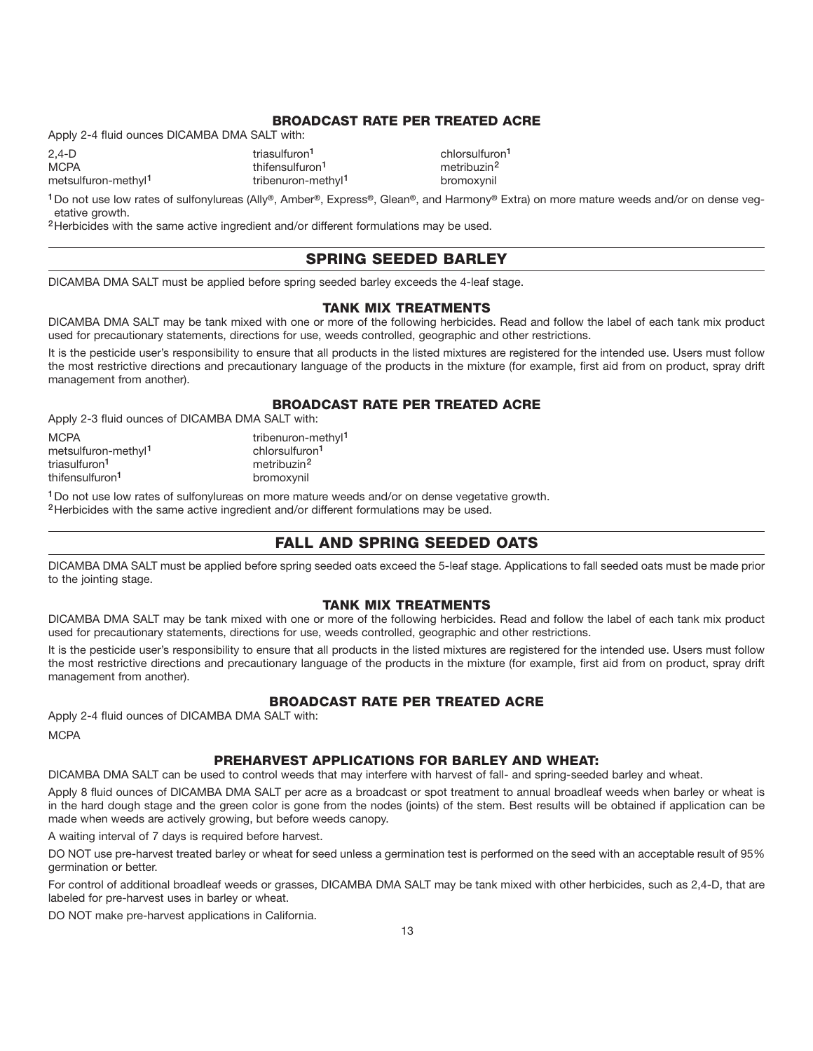#### **BROADCAST RATE PER TREATED ACRE**

Apply 2-4 fluid ounces DICAMBA DMA SALT with:

2,4-D triasulfuron**<sup>1</sup>** chlorsulfuron**<sup>1</sup>** MCPA **metribuzin**<sup>2</sup> thifensulfuron<sup>1</sup> metribuzin<sup>2</sup>

metsulfuron-methyl**<sup>1</sup>** tribenuron-methyl**<sup>1</sup>** bromoxynil

**<sup>1</sup>**Do not use low rates of sulfonylureas (Ally**®**, Amber**®**, Express**®**, Glean**®**, and Harmony**®** Extra) on more mature weeds and/or on dense vegetative growth.

**<sup>2</sup>**Herbicides with the same active ingredient and/or different formulations may be used.

#### **SPRING SEEDED BARLEY**

DICAMBA DMA SALT must be applied before spring seeded barley exceeds the 4-leaf stage.

#### **TANK MIX TREATMENTS**

DICAMBA DMA SALT may be tank mixed with one or more of the following herbicides. Read and follow the label of each tank mix product used for precautionary statements, directions for use, weeds controlled, geographic and other restrictions.

It is the pesticide user's responsibility to ensure that all products in the listed mixtures are registered for the intended use. Users must follow the most restrictive directions and precautionary language of the products in the mixture (for example, first aid from on product, spray drift management from another).

#### **BROADCAST RATE PER TREATED ACRE**

Apply 2-3 fluid ounces of DICAMBA DMA SALT with:

MCPA tribenuron-methyl<sup>1</sup> metsulfuron-methyl**<sup>1</sup>** chlorsulfuron**<sup>1</sup>** triasulfuron**<sup>1</sup>** metribuzin**<sup>2</sup>** thifensulfuron<sup>1</sup> bromoxynil

**<sup>1</sup>**Do not use low rates of sulfonylureas on more mature weeds and/or on dense vegetative growth.

**<sup>2</sup>**Herbicides with the same active ingredient and/or different formulations may be used.

#### **FALL AND SPRING SEEDED OATS**

DICAMBA DMA SALT must be applied before spring seeded oats exceed the 5-leaf stage. Applications to fall seeded oats must be made prior to the jointing stage.

#### **TANK MIX TREATMENTS**

DICAMBA DMA SALT may be tank mixed with one or more of the following herbicides. Read and follow the label of each tank mix product used for precautionary statements, directions for use, weeds controlled, geographic and other restrictions.

It is the pesticide user's responsibility to ensure that all products in the listed mixtures are registered for the intended use. Users must follow the most restrictive directions and precautionary language of the products in the mixture (for example, first aid from on product, spray drift management from another).

#### **BROADCAST RATE PER TREATED ACRE**

Apply 2-4 fluid ounces of DICAMBA DMA SALT with: **MCPA** 

#### **PREHARVEST APPLICATIONS FOR BARLEY AND WHEAT:**

DICAMBA DMA SALT can be used to control weeds that may interfere with harvest of fall- and spring-seeded barley and wheat.

Apply 8 fluid ounces of DICAMBA DMA SALT per acre as a broadcast or spot treatment to annual broadleaf weeds when barley or wheat is in the hard dough stage and the green color is gone from the nodes (joints) of the stem. Best results will be obtained if application can be made when weeds are actively growing, but before weeds canopy.

A waiting interval of 7 days is required before harvest.

DO NOT use pre-harvest treated barley or wheat for seed unless a germination test is performed on the seed with an acceptable result of 95% germination or better.

For control of additional broadleaf weeds or grasses, DICAMBA DMA SALT may be tank mixed with other herbicides, such as 2,4-D, that are labeled for pre-harvest uses in barley or wheat.

DO NOT make pre-harvest applications in California.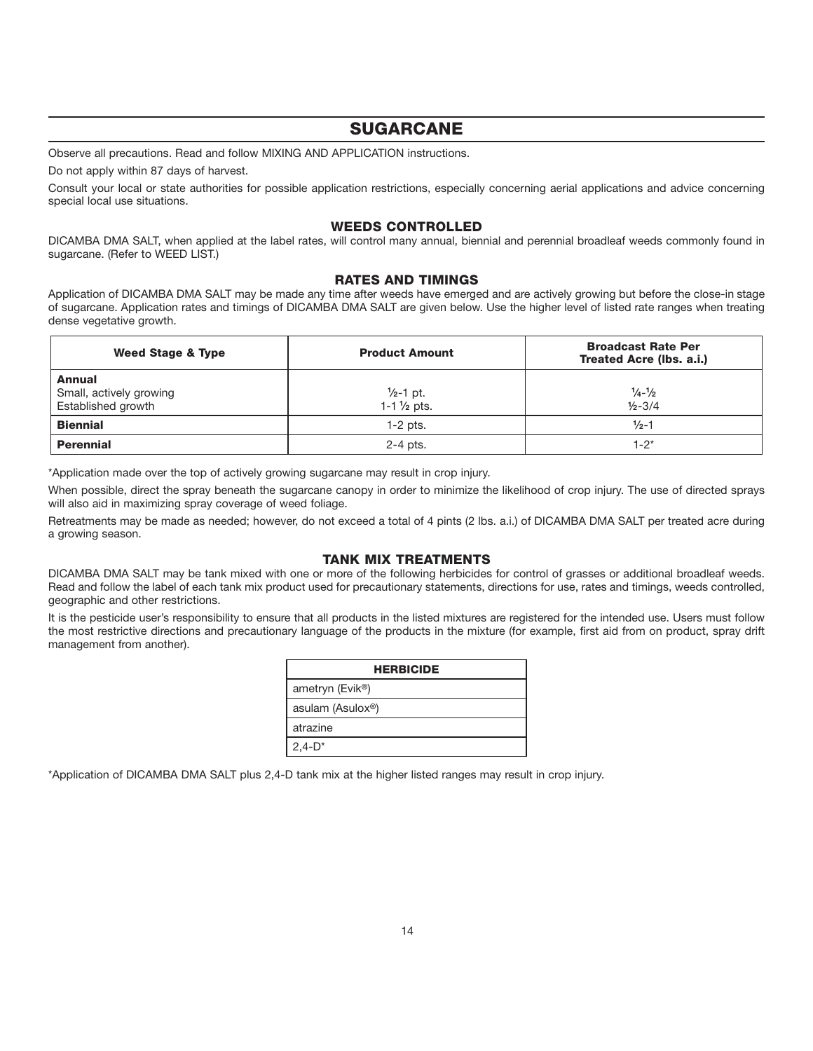# **SUGARCANE**

Observe all precautions. Read and follow MIXING AND APPLICATION instructions.

Do not apply within 87 days of harvest.

Consult your local or state authorities for possible application restrictions, especially concerning aerial applications and advice concerning special local use situations.

#### **WEEDS CONTROLLED**

DICAMBA DMA SALT, when applied at the label rates, will control many annual, biennial and perennial broadleaf weeds commonly found in sugarcane. (Refer to WEED LIST.)

#### **RATES AND TIMINGS**

Application of DICAMBA DMA SALT may be made any time after weeds have emerged and are actively growing but before the close-in stage of sugarcane. Application rates and timings of DICAMBA DMA SALT are given below. Use the higher level of listed rate ranges when treating dense vegetative growth.

| Weed Stage & Type                                              | <b>Product Amount</b>                           | <b>Broadcast Rate Per</b><br>Treated Acre (Ibs. a.i.) |
|----------------------------------------------------------------|-------------------------------------------------|-------------------------------------------------------|
| <b>Annual</b><br>Small, actively growing<br>Established growth | $\frac{1}{2}$ -1 pt.<br>$1 - 1\frac{1}{2}$ pts. | $\frac{1}{4} - \frac{1}{2}$<br>$1/2 - 3/4$            |
| <b>Biennial</b>                                                | $1-2$ pts.                                      | $\frac{1}{2}$ -1                                      |
| <b>Perennial</b>                                               | $2-4$ pts.                                      | 1-2*                                                  |

\*Application made over the top of actively growing sugarcane may result in crop injury.

When possible, direct the spray beneath the sugarcane canopy in order to minimize the likelihood of crop injury. The use of directed sprays will also aid in maximizing spray coverage of weed foliage.

Retreatments may be made as needed; however, do not exceed a total of 4 pints (2 lbs. a.i.) of DICAMBA DMA SALT per treated acre during a growing season.

#### **TANK MIX TREATMENTS**

DICAMBA DMA SALT may be tank mixed with one or more of the following herbicides for control of grasses or additional broadleaf weeds. Read and follow the label of each tank mix product used for precautionary statements, directions for use, rates and timings, weeds controlled, geographic and other restrictions.

It is the pesticide user's responsibility to ensure that all products in the listed mixtures are registered for the intended use. Users must follow the most restrictive directions and precautionary language of the products in the mixture (for example, first aid from on product, spray drift management from another).

| <b>HERBICIDE</b>              |  |  |
|-------------------------------|--|--|
| ametryn (Evik <sup>®</sup> )  |  |  |
| asulam (Asulox <sup>®</sup> ) |  |  |
| atrazine                      |  |  |
| $2,4-D^*$                     |  |  |

\*Application of DICAMBA DMA SALT plus 2,4-D tank mix at the higher listed ranges may result in crop injury.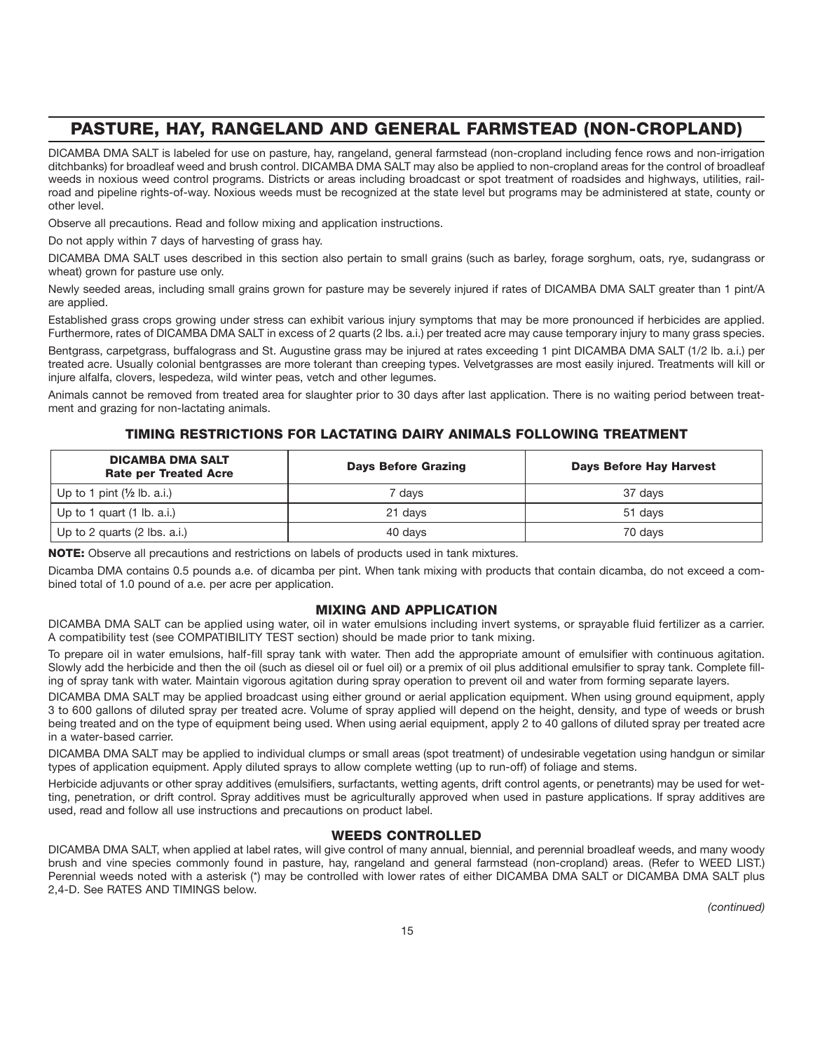# **PASTURE, HAY, RANGELAND AND GENERAL FARMSTEAD (NON-CROPLAND)**

DICAMBA DMA SALT is labeled for use on pasture, hay, rangeland, general farmstead (non-cropland including fence rows and non-irrigation ditchbanks) for broadleaf weed and brush control. DICAMBA DMA SALT may also be applied to non-cropland areas for the control of broadleaf weeds in noxious weed control programs. Districts or areas including broadcast or spot treatment of roadsides and highways, utilities, railroad and pipeline rights-of-way. Noxious weeds must be recognized at the state level but programs may be administered at state, county or other level.

Observe all precautions. Read and follow mixing and application instructions.

Do not apply within 7 days of harvesting of grass hay.

DICAMBA DMA SALT uses described in this section also pertain to small grains (such as barley, forage sorghum, oats, rye, sudangrass or wheat) grown for pasture use only.

Newly seeded areas, including small grains grown for pasture may be severely injured if rates of DICAMBA DMA SALT greater than 1 pint/A are applied.

Established grass crops growing under stress can exhibit various injury symptoms that may be more pronounced if herbicides are applied. Furthermore, rates of DICAMBA DMA SALT in excess of 2 quarts (2 lbs. a.i.) per treated acre may cause temporary injury to many grass species.

Bentgrass, carpetgrass, buffalograss and St. Augustine grass may be injured at rates exceeding 1 pint DICAMBA DMA SALT (1/2 lb. a.i.) per treated acre. Usually colonial bentgrasses are more tolerant than creeping types. Velvetgrasses are most easily injured. Treatments will kill or injure alfalfa, clovers, lespedeza, wild winter peas, vetch and other legumes.

Animals cannot be removed from treated area for slaughter prior to 30 days after last application. There is no waiting period between treatment and grazing for non-lactating animals.

#### **TIMING RESTRICTIONS FOR LACTATING DAIRY ANIMALS FOLLOWING TREATMENT**

| <b>DICAMBA DMA SALT</b><br><b>Rate per Treated Acre</b> | <b>Days Before Grazing</b> | <b>Days Before Hay Harvest</b> |
|---------------------------------------------------------|----------------------------|--------------------------------|
| Up to 1 pint $(\frac{1}{2}$ lb. a.i.)                   | ' davs                     | 37 davs                        |
| Up to 1 quart $(1 \text{ lb. a.i.})$                    | 21 days                    | 51 davs                        |
| Up to 2 quarts (2 lbs. a.i.)                            | 40 days                    | 70 davs                        |

**NOTE:** Observe all precautions and restrictions on labels of products used in tank mixtures.

Dicamba DMA contains 0.5 pounds a.e. of dicamba per pint. When tank mixing with products that contain dicamba, do not exceed a combined total of 1.0 pound of a.e. per acre per application.

#### **MIXING AND APPLICATION**

DICAMBA DMA SALT can be applied using water, oil in water emulsions including invert systems, or sprayable fluid fertilizer as a carrier. A compatibility test (see COMPATIBILITY TEST section) should be made prior to tank mixing.

To prepare oil in water emulsions, half-fill spray tank with water. Then add the appropriate amount of emulsifier with continuous agitation. Slowly add the herbicide and then the oil (such as diesel oil or fuel oil) or a premix of oil plus additional emulsifier to spray tank. Complete filling of spray tank with water. Maintain vigorous agitation during spray operation to prevent oil and water from forming separate layers.

DICAMBA DMA SALT may be applied broadcast using either ground or aerial application equipment. When using ground equipment, apply 3 to 600 gallons of diluted spray per treated acre. Volume of spray applied will depend on the height, density, and type of weeds or brush being treated and on the type of equipment being used. When using aerial equipment, apply 2 to 40 gallons of diluted spray per treated acre in a water-based carrier.

DICAMBA DMA SALT may be applied to individual clumps or small areas (spot treatment) of undesirable vegetation using handgun or similar types of application equipment. Apply diluted sprays to allow complete wetting (up to run-off) of foliage and stems.

Herbicide adjuvants or other spray additives (emulsifiers, surfactants, wetting agents, drift control agents, or penetrants) may be used for wetting, penetration, or drift control. Spray additives must be agriculturally approved when used in pasture applications. If spray additives are used, read and follow all use instructions and precautions on product label.

#### **WEEDS CONTROLLED**

DICAMBA DMA SALT, when applied at label rates, will give control of many annual, biennial, and perennial broadleaf weeds, and many woody brush and vine species commonly found in pasture, hay, rangeland and general farmstead (non-cropland) areas. (Refer to WEED LIST.) Perennial weeds noted with a asterisk (\*) may be controlled with lower rates of either DICAMBA DMA SALT or DICAMBA DMA SALT plus 2,4-D. See RATES AND TIMINGS below.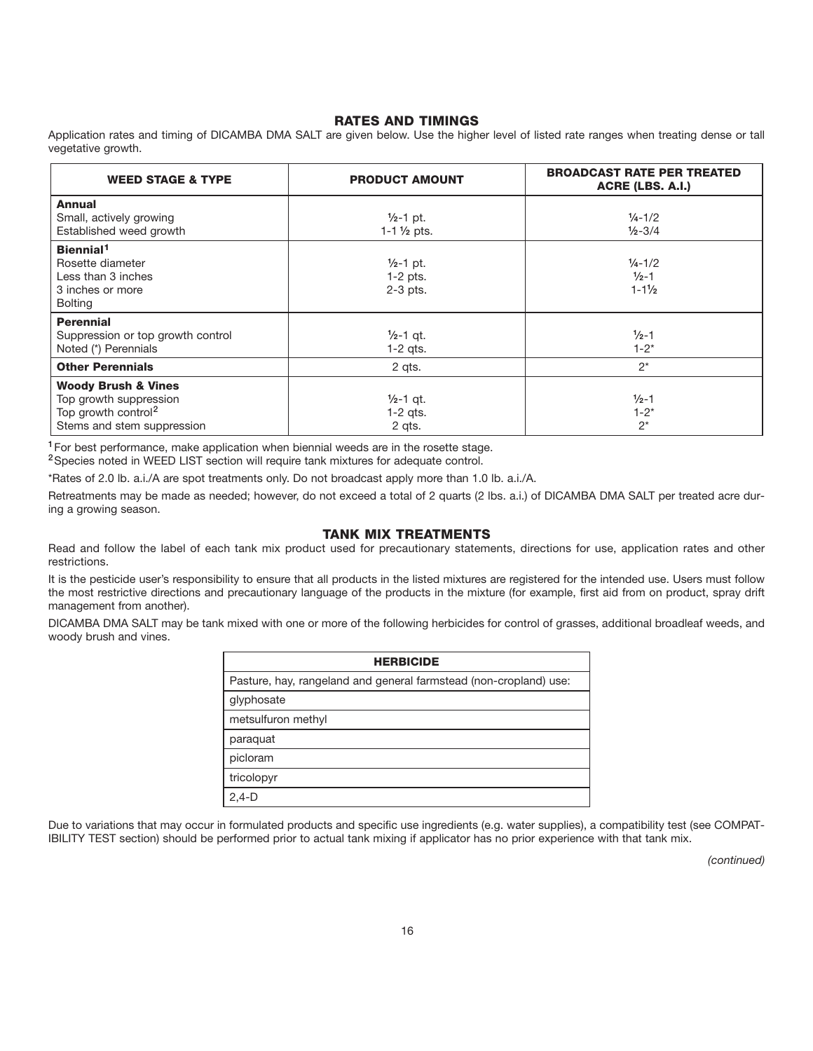#### **RATES AND TIMINGS**

Application rates and timing of DICAMBA DMA SALT are given below. Use the higher level of listed rate ranges when treating dense or tall vegetative growth.

| <b>WEED STAGE &amp; TYPE</b>                                                                                              | <b>PRODUCT AMOUNT</b>                            | <b>BROADCAST RATE PER TREATED</b><br>ACRE (LBS. A.I.)                 |
|---------------------------------------------------------------------------------------------------------------------------|--------------------------------------------------|-----------------------------------------------------------------------|
| <b>Annual</b><br>Small, actively growing<br>Established weed growth                                                       | $1/2 - 1$ pt.<br>$1 - 1 \frac{1}{2}$ pts.        | $\frac{1}{4} - \frac{1}{2}$<br>$\frac{1}{2} - \frac{3}{4}$            |
| Biennial <sup>1</sup><br>Rosette diameter<br>Less than 3 inches<br>3 inches or more<br><b>Bolting</b>                     | $\frac{1}{2}$ -1 pt.<br>$1-2$ pts.<br>$2-3$ pts. | $\frac{1}{4} - \frac{1}{2}$<br>$\frac{1}{2}$ -1<br>$1 - 1\frac{1}{2}$ |
| <b>Perennial</b><br>Suppression or top growth control<br>Noted (*) Perennials                                             | $1/2 - 1$ qt.<br>$1-2$ qts.                      | $\frac{1}{2}$ -1<br>$1 - 2^*$                                         |
| <b>Other Perennials</b>                                                                                                   | 2 gts.                                           | $2^*$                                                                 |
| <b>Woody Brush &amp; Vines</b><br>Top growth suppression<br>Top growth control <sup>2</sup><br>Stems and stem suppression | $1/2 - 1$ qt.<br>$1-2$ qts.<br>2 qts.            | $1/2 - 1$<br>$1 - 2^*$<br>$2^*$                                       |

**<sup>1</sup>**For best performance, make application when biennial weeds are in the rosette stage.

**<sup>2</sup>**Species noted in WEED LIST section will require tank mixtures for adequate control.

\*Rates of 2.0 lb. a.i./A are spot treatments only. Do not broadcast apply more than 1.0 lb. a.i./A.

Retreatments may be made as needed; however, do not exceed a total of 2 quarts (2 lbs. a.i.) of DICAMBA DMA SALT per treated acre during a growing season.

#### **TANK MIX TREATMENTS**

Read and follow the label of each tank mix product used for precautionary statements, directions for use, application rates and other restrictions.

It is the pesticide user's responsibility to ensure that all products in the listed mixtures are registered for the intended use. Users must follow the most restrictive directions and precautionary language of the products in the mixture (for example, first aid from on product, spray drift management from another).

DICAMBA DMA SALT may be tank mixed with one or more of the following herbicides for control of grasses, additional broadleaf weeds, and woody brush and vines.

| <b>HERBICIDE</b>                                                  |
|-------------------------------------------------------------------|
| Pasture, hay, rangeland and general farmstead (non-cropland) use: |
| glyphosate                                                        |
| metsulfuron methyl                                                |
| paraquat                                                          |
| picloram                                                          |
| tricolopyr                                                        |
| $2,4-D$                                                           |

Due to variations that may occur in formulated products and specific use ingredients (e.g. water supplies), a compatibility test (see COMPAT-IBILITY TEST section) should be performed prior to actual tank mixing if applicator has no prior experience with that tank mix.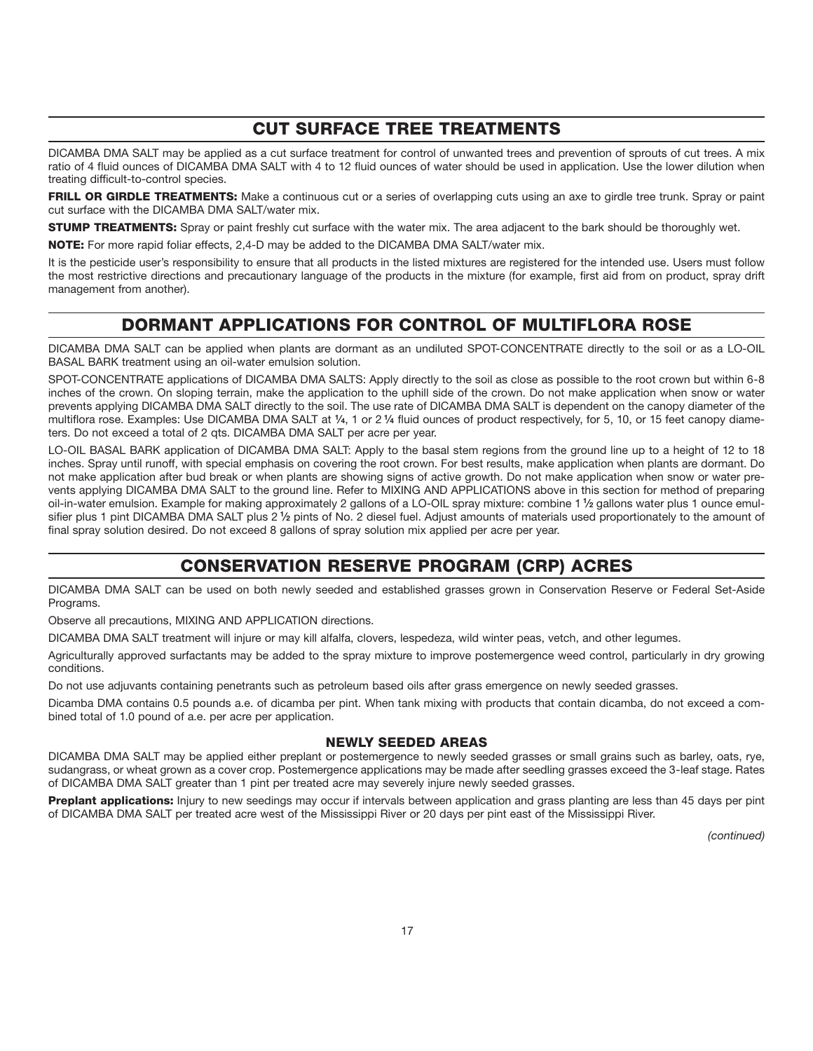# **CUT SURFACE TREE TREATMENTS**

DICAMBA DMA SALT may be applied as a cut surface treatment for control of unwanted trees and prevention of sprouts of cut trees. A mix ratio of 4 fluid ounces of DICAMBA DMA SALT with 4 to 12 fluid ounces of water should be used in application. Use the lower dilution when treating difficult-to-control species.

FRILL OR GIRDLE TREATMENTS: Make a continuous cut or a series of overlapping cuts using an axe to girdle tree trunk. Spray or paint cut surface with the DICAMBA DMA SALT/water mix.

**STUMP TREATMENTS:** Spray or paint freshly cut surface with the water mix. The area adjacent to the bark should be thoroughly wet.

**NOTE:** For more rapid foliar effects, 2,4-D may be added to the DICAMBA DMA SALT/water mix.

It is the pesticide user's responsibility to ensure that all products in the listed mixtures are registered for the intended use. Users must follow the most restrictive directions and precautionary language of the products in the mixture (for example, first aid from on product, spray drift management from another).

# **DORMANT APPLICATIONS FOR CONTROL OF MULTIFLORA ROSE**

DICAMBA DMA SALT can be applied when plants are dormant as an undiluted SPOT-CONCENTRATE directly to the soil or as a LO-OIL BASAL BARK treatment using an oil-water emulsion solution.

SPOT-CONCENTRATE applications of DICAMBA DMA SALTS: Apply directly to the soil as close as possible to the root crown but within 6-8 inches of the crown. On sloping terrain, make the application to the uphill side of the crown. Do not make application when snow or water prevents applying DICAMBA DMA SALT directly to the soil. The use rate of DICAMBA DMA SALT is dependent on the canopy diameter of the multiflora rose. Examples: Use DICAMBA DMA SALT at **1⁄4**, 1 or 2 **1⁄4** fluid ounces of product respectively, for 5, 10, or 15 feet canopy diameters. Do not exceed a total of 2 qts. DICAMBA DMA SALT per acre per year.

LO-OIL BASAL BARK application of DICAMBA DMA SALT: Apply to the basal stem regions from the ground line up to a height of 12 to 18 inches. Spray until runoff, with special emphasis on covering the root crown. For best results, make application when plants are dormant. Do not make application after bud break or when plants are showing signs of active growth. Do not make application when snow or water prevents applying DICAMBA DMA SALT to the ground line. Refer to MIXING AND APPLICATIONS above in this section for method of preparing oil-in-water emulsion. Example for making approximately 2 gallons of a LO-OIL spray mixture: combine 1 **1⁄2** gallons water plus 1 ounce emulsifier plus 1 pint DICAMBA DMA SALT plus 2 **1⁄2** pints of No. 2 diesel fuel. Adjust amounts of materials used proportionately to the amount of final spray solution desired. Do not exceed 8 gallons of spray solution mix applied per acre per year.

# **CONSERVATION RESERVE PROGRAM (CRP) ACRES**

DICAMBA DMA SALT can be used on both newly seeded and established grasses grown in Conservation Reserve or Federal Set-Aside Programs.

Observe all precautions, MIXING AND APPLICATION directions.

DICAMBA DMA SALT treatment will injure or may kill alfalfa, clovers, lespedeza, wild winter peas, vetch, and other legumes.

Agriculturally approved surfactants may be added to the spray mixture to improve postemergence weed control, particularly in dry growing conditions.

Do not use adjuvants containing penetrants such as petroleum based oils after grass emergence on newly seeded grasses.

Dicamba DMA contains 0.5 pounds a.e. of dicamba per pint. When tank mixing with products that contain dicamba, do not exceed a combined total of 1.0 pound of a.e. per acre per application.

#### **NEWLY SEEDED AREAS**

DICAMBA DMA SALT may be applied either preplant or postemergence to newly seeded grasses or small grains such as barley, oats, rye, sudangrass, or wheat grown as a cover crop. Postemergence applications may be made after seedling grasses exceed the 3-leaf stage. Rates of DICAMBA DMA SALT greater than 1 pint per treated acre may severely injure newly seeded grasses.

**Preplant applications:** Injury to new seedings may occur if intervals between application and grass planting are less than 45 days per pint of DICAMBA DMA SALT per treated acre west of the Mississippi River or 20 days per pint east of the Mississippi River.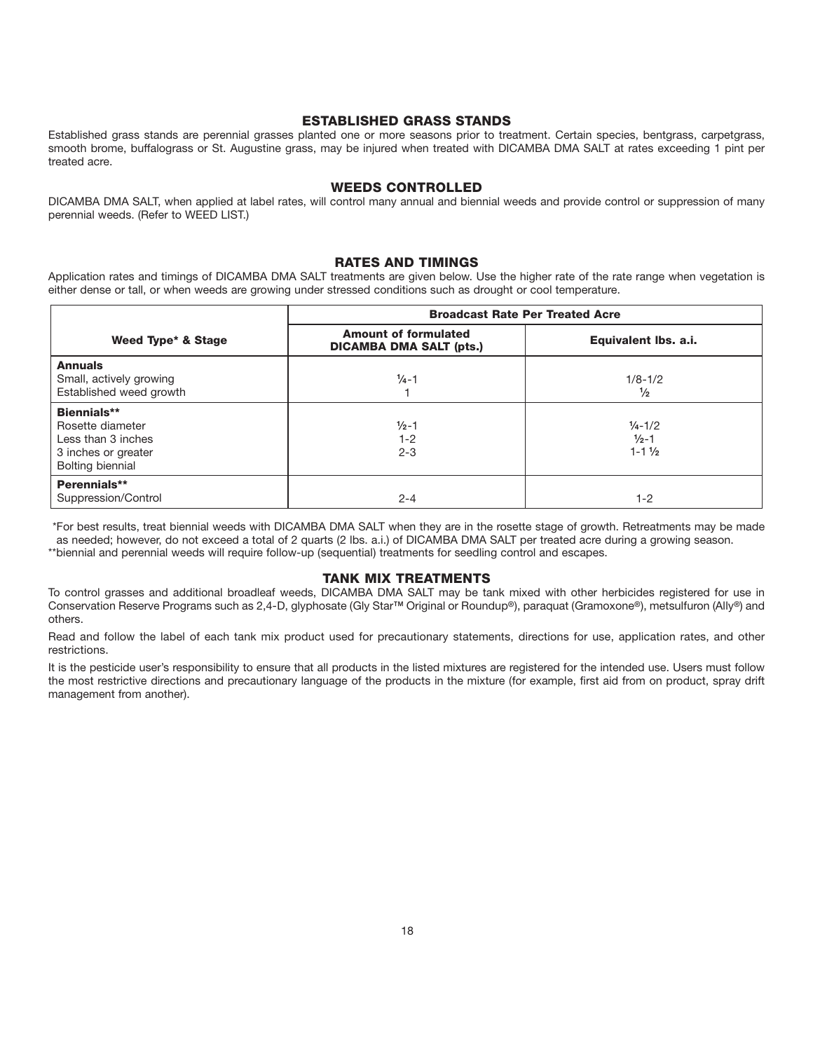#### **ESTABLISHED GRASS STANDS**

Established grass stands are perennial grasses planted one or more seasons prior to treatment. Certain species, bentgrass, carpetgrass, smooth brome, buffalograss or St. Augustine grass, may be injured when treated with DICAMBA DMA SALT at rates exceeding 1 pint per treated acre.

#### **WEEDS CONTROLLED**

DICAMBA DMA SALT, when applied at label rates, will control many annual and biennial weeds and provide control or suppression of many perennial weeds. (Refer to WEED LIST.)

#### **RATES AND TIMINGS**

Application rates and timings of DICAMBA DMA SALT treatments are given below. Use the higher rate of the rate range when vegetation is either dense or tall, or when weeds are growing under stressed conditions such as drought or cool temperature.

|                                                                                                  | <b>Broadcast Rate Per Treated Acre</b>                        |                                                                       |  |
|--------------------------------------------------------------------------------------------------|---------------------------------------------------------------|-----------------------------------------------------------------------|--|
| Weed Type* & Stage                                                                               | <b>Amount of formulated</b><br><b>DICAMBA DMA SALT (pts.)</b> | Equivalent Ibs. a.i.                                                  |  |
| <b>Annuals</b><br>Small, actively growing<br>Established weed growth                             | $\frac{1}{4}$ -1                                              | $1/8 - 1/2$<br>$\frac{1}{2}$                                          |  |
| Biennials**<br>Rosette diameter<br>Less than 3 inches<br>3 inches or greater<br>Bolting biennial | $1/2 - 1$<br>$1 - 2$<br>$2 - 3$                               | $\frac{1}{4} - \frac{1}{2}$<br>$\frac{1}{2}$ -1<br>$1 - 1\frac{1}{2}$ |  |
| Perennials**<br>Suppression/Control                                                              | $2 - 4$                                                       | $1 - 2$                                                               |  |

\*For best results, treat biennial weeds with DICAMBA DMA SALT when they are in the rosette stage of growth. Retreatments may be made as needed; however, do not exceed a total of 2 quarts (2 lbs. a.i.) of DICAMBA DMA SALT per treated acre during a growing season. \*\*biennial and perennial weeds will require follow-up (sequential) treatments for seedling control and escapes.

#### **TANK MIX TREATMENTS**

To control grasses and additional broadleaf weeds, DICAMBA DMA SALT may be tank mixed with other herbicides registered for use in Conservation Reserve Programs such as 2,4-D, glyphosate (Gly Star**™** Original or Roundup**®**), paraquat (Gramoxone**®**), metsulfuron (Ally**®**) and others.

Read and follow the label of each tank mix product used for precautionary statements, directions for use, application rates, and other restrictions.

It is the pesticide user's responsibility to ensure that all products in the listed mixtures are registered for the intended use. Users must follow the most restrictive directions and precautionary language of the products in the mixture (for example, first aid from on product, spray drift management from another).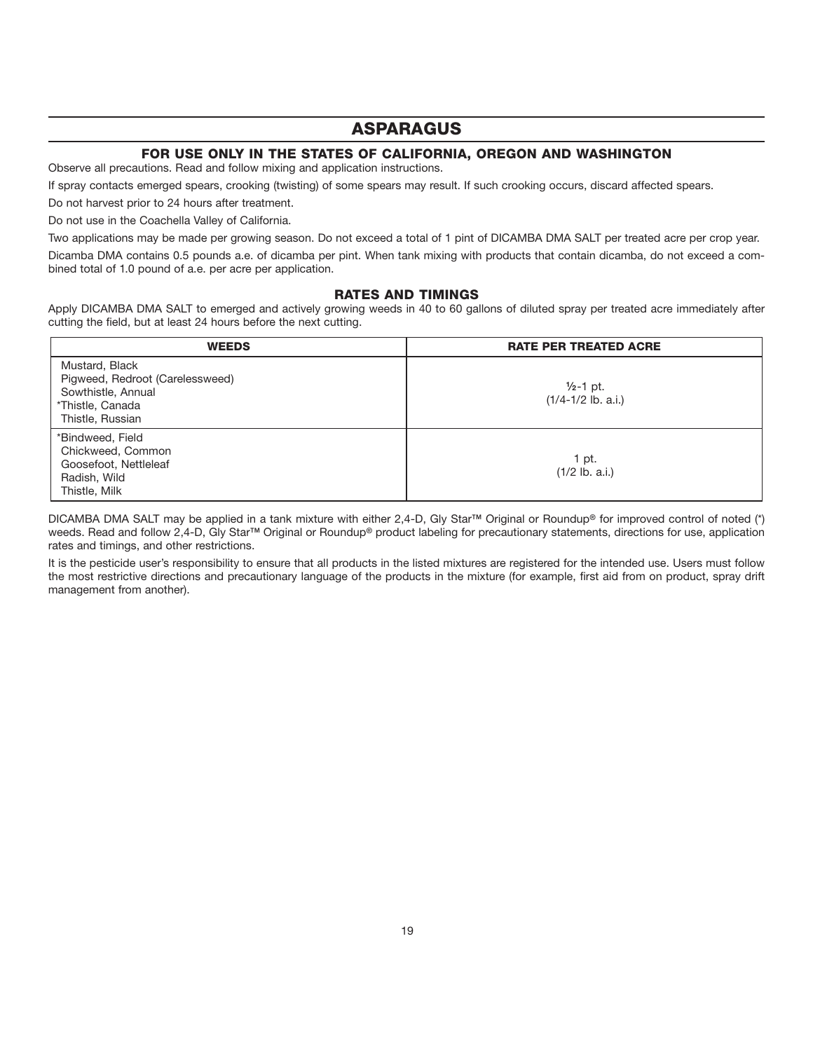# **ASPARAGUS**

#### **FOR USE ONLY IN THE STATES OF CALIFORNIA, OREGON AND WASHINGTON**

Observe all precautions. Read and follow mixing and application instructions.

If spray contacts emerged spears, crooking (twisting) of some spears may result. If such crooking occurs, discard affected spears.

Do not harvest prior to 24 hours after treatment.

Do not use in the Coachella Valley of California.

Two applications may be made per growing season. Do not exceed a total of 1 pint of DICAMBA DMA SALT per treated acre per crop year.

Dicamba DMA contains 0.5 pounds a.e. of dicamba per pint. When tank mixing with products that contain dicamba, do not exceed a combined total of 1.0 pound of a.e. per acre per application.

#### **RATES AND TIMINGS**

Apply DICAMBA DMA SALT to emerged and actively growing weeds in 40 to 60 gallons of diluted spray per treated acre immediately after cutting the field, but at least 24 hours before the next cutting.

| <b>WEEDS</b>                                                                                                    | <b>RATE PER TREATED ACRE</b>                   |  |
|-----------------------------------------------------------------------------------------------------------------|------------------------------------------------|--|
| Mustard, Black<br>Pigweed, Redroot (Carelessweed)<br>Sowthistle, Annual<br>*Thistle, Canada<br>Thistle, Russian | $\frac{1}{2}$ -1 pt.<br>$(1/4 - 1/2$ lb. a.i.) |  |
| *Bindweed, Field<br>Chickweed, Common<br>Goosefoot, Nettleleaf<br>Radish, Wild<br>Thistle, Milk                 | 1 pt.<br>$(1/2$ lb. a.i.)                      |  |

DICAMBA DMA SALT may be applied in a tank mixture with either 2,4-D, Gly Star**™** Original or Roundup**®** for improved control of noted (\*) weeds. Read and follow 2,4-D, Gly Star**™** Original or Roundup**®** product labeling for precautionary statements, directions for use, application rates and timings, and other restrictions.

It is the pesticide user's responsibility to ensure that all products in the listed mixtures are registered for the intended use. Users must follow the most restrictive directions and precautionary language of the products in the mixture (for example, first aid from on product, spray drift management from another).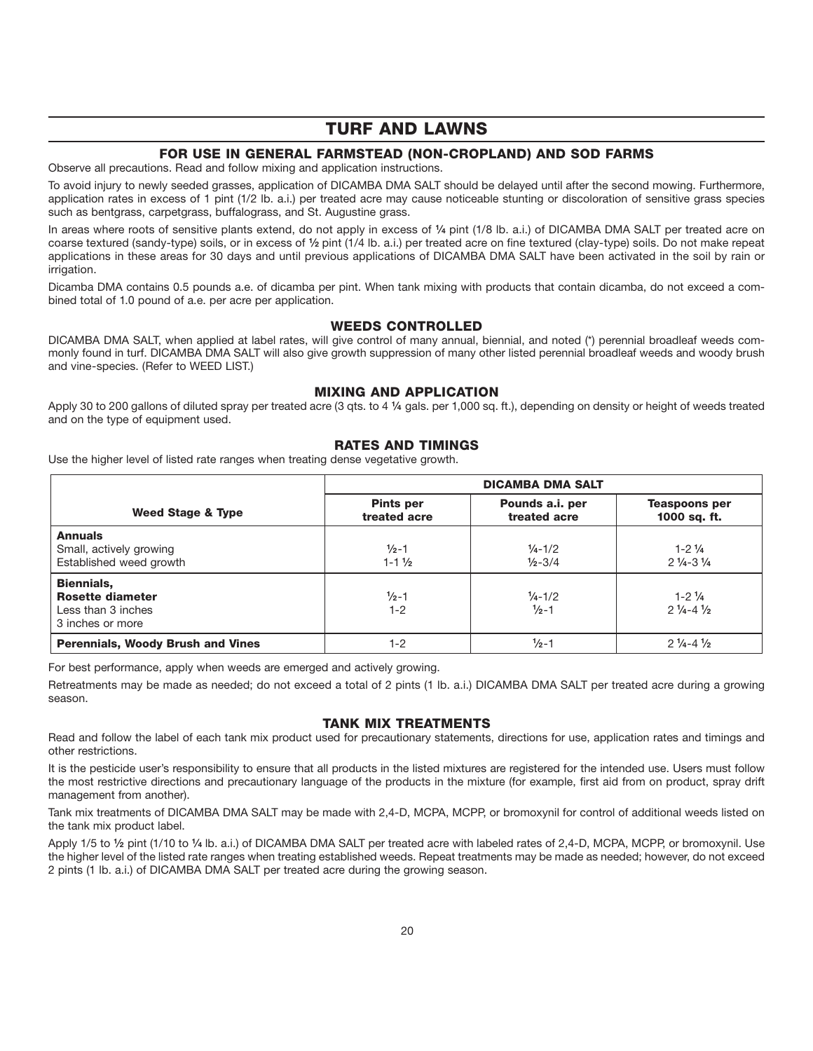# **TURF AND LAWNS**

#### **FOR USE IN GENERAL FARMSTEAD (NON-CROPLAND) AND SOD FARMS**

Observe all precautions. Read and follow mixing and application instructions.

To avoid injury to newly seeded grasses, application of DICAMBA DMA SALT should be delayed until after the second mowing. Furthermore, application rates in excess of 1 pint (1/2 lb. a.i.) per treated acre may cause noticeable stunting or discoloration of sensitive grass species such as bentgrass, carpetgrass, buffalograss, and St. Augustine grass.

In areas where roots of sensitive plants extend, do not apply in excess of **1⁄4** pint (1/8 lb. a.i.) of DICAMBA DMA SALT per treated acre on coarse textured (sandy-type) soils, or in excess of **1⁄2** pint (1/4 lb. a.i.) per treated acre on fine textured (clay-type) soils. Do not make repeat applications in these areas for 30 days and until previous applications of DICAMBA DMA SALT have been activated in the soil by rain or irrigation.

Dicamba DMA contains 0.5 pounds a.e. of dicamba per pint. When tank mixing with products that contain dicamba, do not exceed a combined total of 1.0 pound of a.e. per acre per application.

#### **WEEDS CONTROLLED**

DICAMBA DMA SALT, when applied at label rates, will give control of many annual, biennial, and noted (\*) perennial broadleaf weeds commonly found in turf. DICAMBA DMA SALT will also give growth suppression of many other listed perennial broadleaf weeds and woody brush and vine-species. (Refer to WEED LIST.)

#### **MIXING AND APPLICATION**

Apply 30 to 200 gallons of diluted spray per treated acre (3 qts. to 4 **1⁄4** gals. per 1,000 sq. ft.), depending on density or height of weeds treated and on the type of equipment used.

#### **RATES AND TIMINGS**

Use the higher level of listed rate ranges when treating dense vegetative growth.

|                                                                                        | <b>DICAMBA DMA SALT</b>                |                                                 |                                                     |
|----------------------------------------------------------------------------------------|----------------------------------------|-------------------------------------------------|-----------------------------------------------------|
| Weed Stage & Type                                                                      | <b>Pints per</b><br>treated acre       | Pounds a.i. per<br>treated acre                 | <b>Teaspoons per</b><br>1000 sq. ft.                |
| <b>Annuals</b><br>Small, actively growing<br>Established weed growth                   | $\frac{1}{2}$ -1<br>$1 - 1\frac{1}{2}$ | $\frac{1}{4} - \frac{1}{2}$<br>$1/2 - 3/4$      | $1 - 2\frac{1}{4}$<br>$2\frac{1}{4} - 3\frac{1}{4}$ |
| <b>Biennials,</b><br><b>Rosette diameter</b><br>Less than 3 inches<br>3 inches or more | $\frac{1}{2}$ -1<br>$1 - 2$            | $\frac{1}{4} - \frac{1}{2}$<br>$\frac{1}{2}$ -1 | $1 - 2\frac{1}{4}$<br>$2\frac{1}{4} - 4\frac{1}{2}$ |
| <b>Perennials, Woody Brush and Vines</b>                                               | $1 - 2$                                | $\frac{1}{2} - 1$                               | $2\frac{1}{4} - 4\frac{1}{2}$                       |

For best performance, apply when weeds are emerged and actively growing.

Retreatments may be made as needed; do not exceed a total of 2 pints (1 lb. a.i.) DICAMBA DMA SALT per treated acre during a growing season.

#### **TANK MIX TREATMENTS**

Read and follow the label of each tank mix product used for precautionary statements, directions for use, application rates and timings and other restrictions.

It is the pesticide user's responsibility to ensure that all products in the listed mixtures are registered for the intended use. Users must follow the most restrictive directions and precautionary language of the products in the mixture (for example, first aid from on product, spray drift management from another).

Tank mix treatments of DICAMBA DMA SALT may be made with 2,4-D, MCPA, MCPP, or bromoxynil for control of additional weeds listed on the tank mix product label.

Apply 1/5 to **1⁄2** pint (1/10 to **1⁄4** lb. a.i.) of DICAMBA DMA SALT per treated acre with labeled rates of 2,4-D, MCPA, MCPP, or bromoxynil. Use the higher level of the listed rate ranges when treating established weeds. Repeat treatments may be made as needed; however, do not exceed 2 pints (1 lb. a.i.) of DICAMBA DMA SALT per treated acre during the growing season.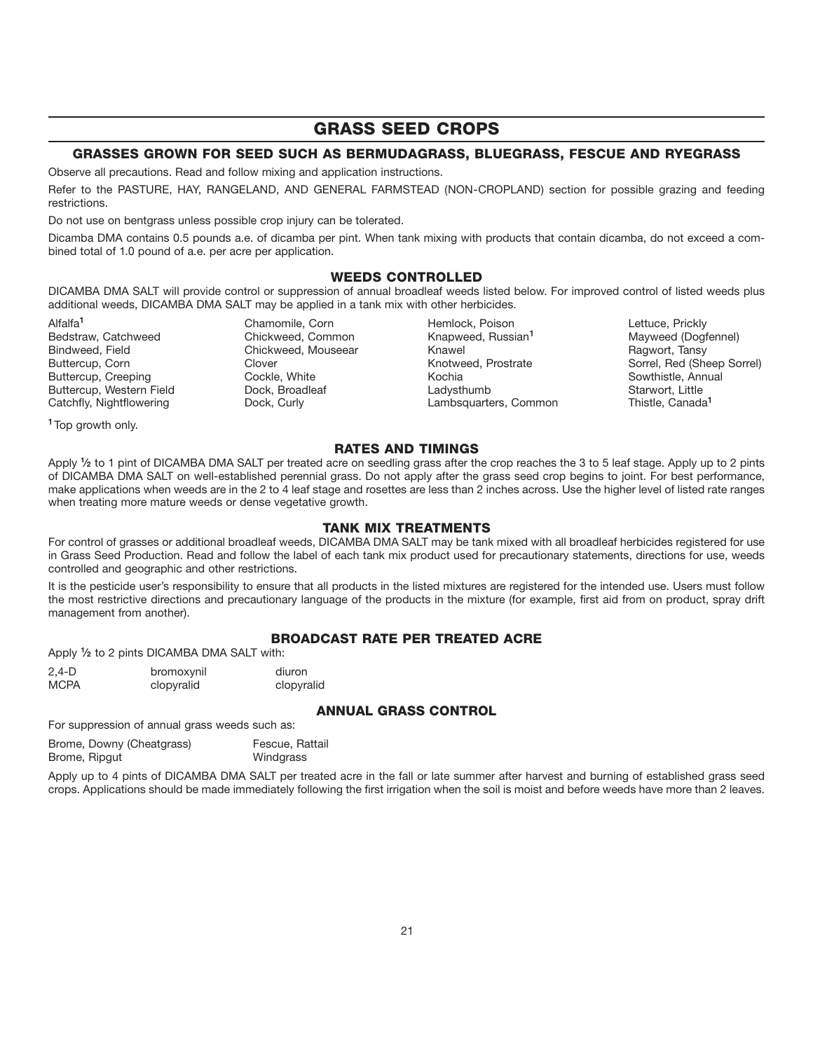# **GRASS SEED CROPS**

#### **GRASSES GROWN FOR SEED SUCH AS BERMUDAGRASS, BLUEGRASS, FESCUE AND RYEGRASS**

Observe all precautions. Read and follow mixing and application instructions.

Refer to the PASTURE, HAY, RANGELAND, AND GENERAL FARMSTEAD (NON-CROPLAND) section for possible grazing and feeding restrictions.

Do not use on bentgrass unless possible crop injury can be tolerated.

Dicamba DMA contains 0.5 pounds a.e. of dicamba per pint. When tank mixing with products that contain dicamba, do not exceed a combined total of 1.0 pound of a.e. per acre per application.

#### **WEEDS CONTROLLED**

DICAMBA DMA SALT will provide control or suppression of annual broadleaf weeds listed below. For improved control of listed weeds plus additional weeds, DICAMBA DMA SALT may be applied in a tank mix with other herbicides.

Buttercup, Creeping **Cockle, White** Cockle, Annual Southern Cockle, Annual Southern Cockle, Annual Southern Cockle, Annual Southern Cockle, Annual Southern Cockle, Annual Southern Cockle, Annual Southern Cockle, Annual Sou

**<sup>1</sup>**Top growth only.

Alfalfa**<sup>1</sup>** Chamomile, Corn Hemlock, Poison Lettuce, Prickly

Bedstraw, Catchweed **Chickweed, Common** Knapweed, Russian<sup>1</sup> Mayweed (Dogfennel) Bindweed, Field **Chickweed, Mouseear** Knawel **Knawel Ragwort, Tansy** Buttercup, Corn Clover Corn Clover (Clover Sorrel, Prostrate Sorrel, Red (Sheep Sorrel)<br>Buttercup, Creeping Cockle, White (Cockle Sovethia Kochia Kochia Sowthistle, Annual Buttercup, Western Field **Buttercup, Western Field** Dock, Broadleaf **Carried Ladysthumb** Starwort, Little Caracter<br>Catchfly, Nightflowering Dock, Curly Lambsquarters, Common Thistle, Canada<sup>1</sup> Catchfly, Nightflowering **Dock, Curly Catchfly, Nightflowering** Dock, Curly **Lambsquarters**, Common

#### **RATES AND TIMINGS**

Apply <sup>1</sup>/<sub>2</sub> to 1 pint of DICAMBA DMA SALT per treated acre on seedling grass after the crop reaches the 3 to 5 leaf stage. Apply up to 2 pints of DICAMBA DMA SALT on well-established perennial grass. Do not apply after the grass seed crop begins to joint. For best performance, make applications when weeds are in the 2 to 4 leaf stage and rosettes are less than 2 inches across. Use the higher level of listed rate ranges when treating more mature weeds or dense vegetative growth.

#### **TANK MIX TREATMENTS**

For control of grasses or additional broadleaf weeds, DICAMBA DMA SALT may be tank mixed with all broadleaf herbicides registered for use in Grass Seed Production. Read and follow the label of each tank mix product used for precautionary statements, directions for use, weeds controlled and geographic and other restrictions.

It is the pesticide user's responsibility to ensure that all products in the listed mixtures are registered for the intended use. Users must follow the most restrictive directions and precautionary language of the products in the mixture (for example, first aid from on product, spray drift management from another).

#### **BROADCAST RATE PER TREATED ACRE**

Apply **1⁄2** to 2 pints DICAMBA DMA SALT with:

| $2,4-D$     | bromoxynil | diuron     |
|-------------|------------|------------|
| <b>MCPA</b> | clopyralid | clopyralid |

#### **ANNUAL GRASS CONTROL**

For suppression of annual grass weeds such as:

| Brome, Downy (Cheatgrass) | Fescue, Rattail |
|---------------------------|-----------------|
| Brome, Ripgut             | Windgrass       |

Apply up to 4 pints of DICAMBA DMA SALT per treated acre in the fall or late summer after harvest and burning of established grass seed crops. Applications should be made immediately following the first irrigation when the soil is moist and before weeds have more than 2 leaves.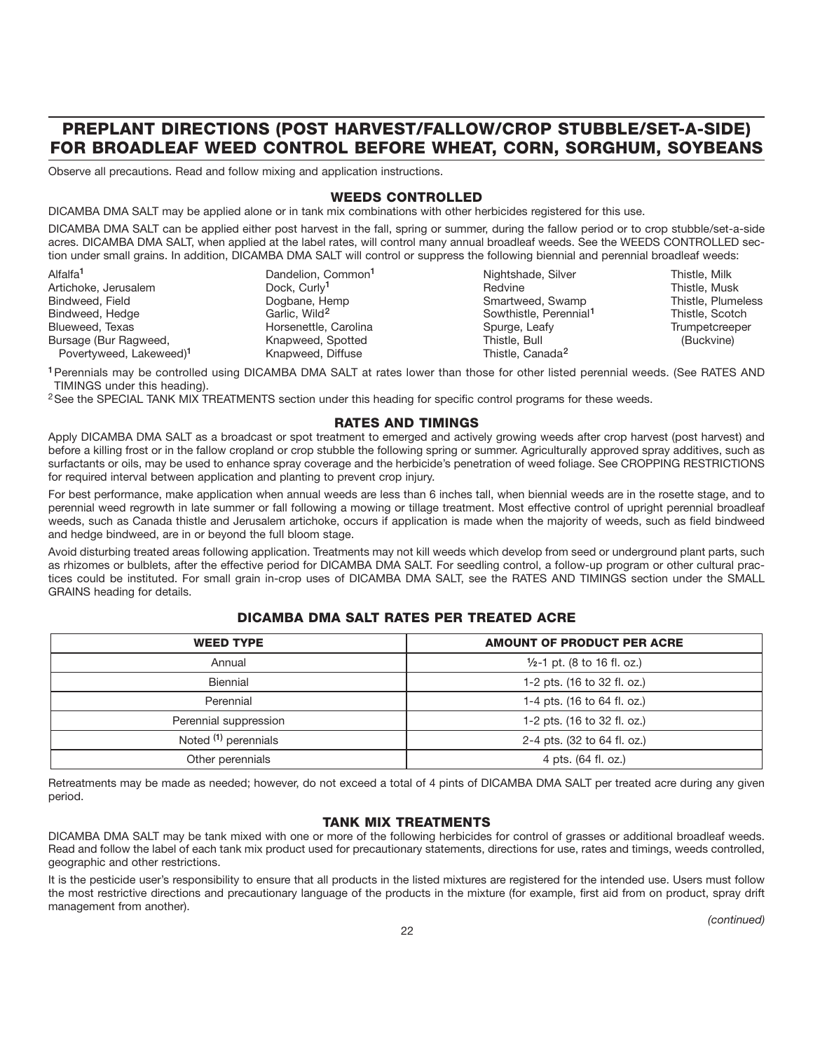# **PREPLANT DIRECTIONS (POST HARVEST/FALLOW/CROP STUBBLE/SET-A-SIDE) FOR BROADLEAF WEED CONTROL BEFORE WHEAT, CORN, SORGHUM, SOYBEANS**

Observe all precautions. Read and follow mixing and application instructions.

#### **WEEDS CONTROLLED**

DICAMBA DMA SALT may be applied alone or in tank mix combinations with other herbicides registered for this use.

DICAMBA DMA SALT can be applied either post harvest in the fall, spring or summer, during the fallow period or to crop stubble/set-a-side acres. DICAMBA DMA SALT, when applied at the label rates, will control many annual broadleaf weeds. See the WEEDS CONTROLLED section under small grains. In addition, DICAMBA DMA SALT will control or suppress the following biennial and perennial broadleaf weeds:

| Alfalfa <sup>1</sup>                | Dandelion, Common <sup>1</sup> | Nightshade, Silver                 | Thistle, Milk      |
|-------------------------------------|--------------------------------|------------------------------------|--------------------|
| Artichoke, Jerusalem                | Dock, Curly <sup>1</sup>       | Redvine                            | Thistle, Musk      |
| Bindweed, Field                     | Dogbane, Hemp                  | Smartweed, Swamp                   | Thistle, Plumeless |
| Bindweed, Hedge                     | Garlic, Wild <sup>2</sup>      | Sowthistle, Perennial <sup>1</sup> | Thistle, Scotch    |
| Blueweed, Texas                     | Horsenettle, Carolina          | Spurge, Leafy                      | Trumpetcreeper     |
| Bursage (Bur Ragweed,               | Knapweed, Spotted              | Thistle, Bull                      | (Buckvine)         |
| Povertyweed, Lakeweed) <sup>1</sup> | Knapweed, Diffuse              | Thistle, Canada <sup>2</sup>       |                    |

**<sup>1</sup>**Perennials may be controlled using DICAMBA DMA SALT at rates lower than those for other listed perennial weeds. (See RATES AND TIMINGS under this heading).

<sup>2</sup>See the SPECIAL TANK MIX TREATMENTS section under this heading for specific control programs for these weeds.

#### **RATES AND TIMINGS**

Apply DICAMBA DMA SALT as a broadcast or spot treatment to emerged and actively growing weeds after crop harvest (post harvest) and before a killing frost or in the fallow cropland or crop stubble the following spring or summer. Agriculturally approved spray additives, such as surfactants or oils, may be used to enhance spray coverage and the herbicide's penetration of weed foliage. See CROPPING RESTRICTIONS for required interval between application and planting to prevent crop injury.

For best performance, make application when annual weeds are less than 6 inches tall, when biennial weeds are in the rosette stage, and to perennial weed regrowth in late summer or fall following a mowing or tillage treatment. Most effective control of upright perennial broadleaf weeds, such as Canada thistle and Jerusalem artichoke, occurs if application is made when the majority of weeds, such as field bindweed and hedge bindweed, are in or beyond the full bloom stage.

Avoid disturbing treated areas following application. Treatments may not kill weeds which develop from seed or underground plant parts, such as rhizomes or bulblets, after the effective period for DICAMBA DMA SALT. For seedling control, a follow-up program or other cultural practices could be instituted. For small grain in-crop uses of DICAMBA DMA SALT, see the RATES AND TIMINGS section under the SMALL GRAINS heading for details.

#### **DICAMBA DMA SALT RATES PER TREATED ACRE**

| <b>WEED TYPE</b>      | <b>AMOUNT OF PRODUCT PER ACRE</b>      |  |
|-----------------------|----------------------------------------|--|
| Annual                | $\frac{1}{2}$ -1 pt. (8 to 16 fl. oz.) |  |
| Biennial              | 1-2 pts. (16 to 32 fl. oz.)            |  |
| Perennial             | 1-4 pts. (16 to 64 fl. oz.)            |  |
| Perennial suppression | 1-2 pts. (16 to 32 fl. oz.)            |  |
| Noted (1) perennials  | 2-4 pts. (32 to 64 fl. oz.)            |  |
| Other perennials      | 4 pts. (64 fl. oz.)                    |  |

Retreatments may be made as needed; however, do not exceed a total of 4 pints of DICAMBA DMA SALT per treated acre during any given period.

#### **TANK MIX TREATMENTS**

DICAMBA DMA SALT may be tank mixed with one or more of the following herbicides for control of grasses or additional broadleaf weeds. Read and follow the label of each tank mix product used for precautionary statements, directions for use, rates and timings, weeds controlled, geographic and other restrictions.

It is the pesticide user's responsibility to ensure that all products in the listed mixtures are registered for the intended use. Users must follow the most restrictive directions and precautionary language of the products in the mixture (for example, first aid from on product, spray drift management from another).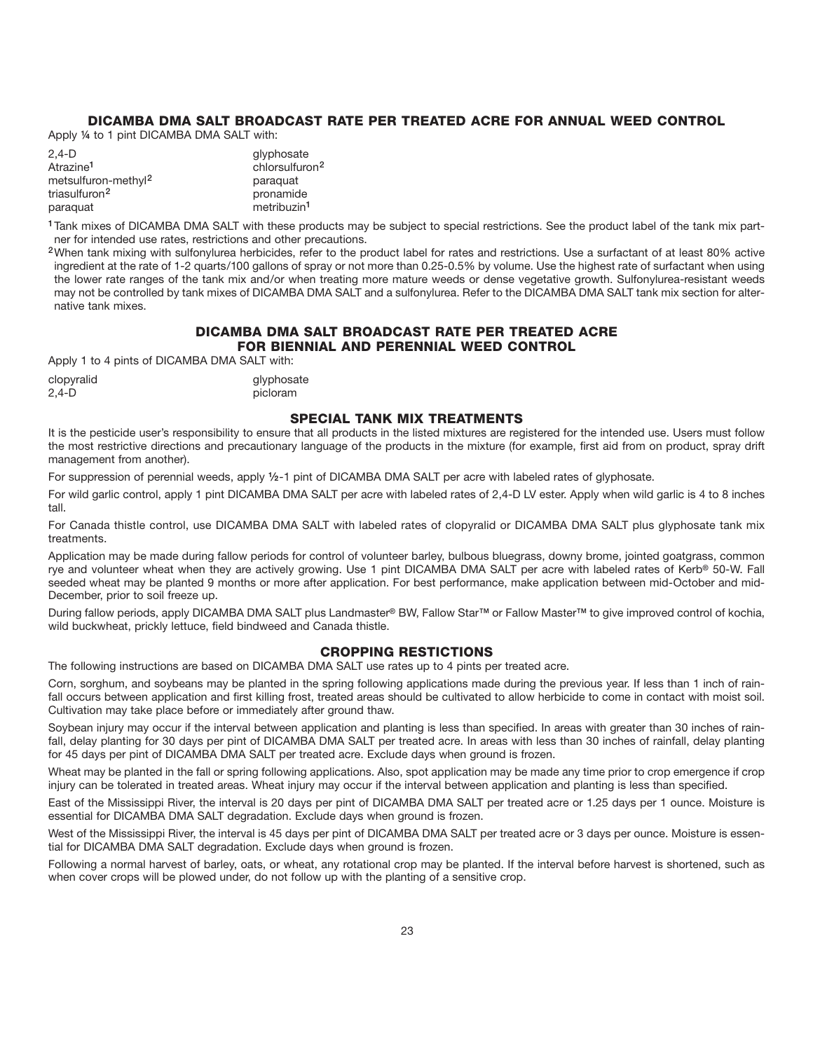#### **DICAMBA DMA SALT BROADCAST RATE PER TREATED ACRE FOR ANNUAL WEED CONTROL**

Apply **¼** to 1 pint DICAMBA DMA SALT with:

| 2.4-D                           | glyphosate                 |
|---------------------------------|----------------------------|
| Atrazine <sup>1</sup>           | chlorsulfuron <sup>2</sup> |
| metsulfuron-methyl <sup>2</sup> | paraguat                   |
| triasulfuron <sup>2</sup>       | pronamide                  |
| paraquat                        | metribuzin <sup>1</sup>    |

**<sup>1</sup>**Tank mixes of DICAMBA DMA SALT with these products may be subject to special restrictions. See the product label of the tank mix partner for intended use rates, restrictions and other precautions.

**<sup>2</sup>**When tank mixing with sulfonylurea herbicides, refer to the product label for rates and restrictions. Use a surfactant of at least 80% active ingredient at the rate of 1-2 quarts/100 gallons of spray or not more than 0.25-0.5% by volume. Use the highest rate of surfactant when using the lower rate ranges of the tank mix and/or when treating more mature weeds or dense vegetative growth. Sulfonylurea-resistant weeds may not be controlled by tank mixes of DICAMBA DMA SALT and a sulfonylurea. Refer to the DICAMBA DMA SALT tank mix section for alternative tank mixes.

#### **DICAMBA DMA SALT BROADCAST RATE PER TREATED ACRE FOR BIENNIAL AND PERENNIAL WEED CONTROL**

Apply 1 to 4 pints of DICAMBA DMA SALT with:

| clopyralid | glyphosate |
|------------|------------|
| 2,4-D      | picloram   |

#### **SPECIAL TANK MIX TREATMENTS**

It is the pesticide user's responsibility to ensure that all products in the listed mixtures are registered for the intended use. Users must follow the most restrictive directions and precautionary language of the products in the mixture (for example, first aid from on product, spray drift management from another).

For suppression of perennial weeds, apply **1⁄2**-1 pint of DICAMBA DMA SALT per acre with labeled rates of glyphosate.

For wild garlic control, apply 1 pint DICAMBA DMA SALT per acre with labeled rates of 2,4-D LV ester. Apply when wild garlic is 4 to 8 inches tall.

For Canada thistle control, use DICAMBA DMA SALT with labeled rates of clopyralid or DICAMBA DMA SALT plus glyphosate tank mix treatments.

Application may be made during fallow periods for control of volunteer barley, bulbous bluegrass, downy brome, jointed goatgrass, common rye and volunteer wheat when they are actively growing. Use 1 pint DICAMBA DMA SALT per acre with labeled rates of Kerb**®** 50-W. Fall seeded wheat may be planted 9 months or more after application. For best performance, make application between mid-October and mid-December, prior to soil freeze up.

During fallow periods, apply DICAMBA DMA SALT plus Landmaster**®** BW, Fallow Star**™** or Fallow Master**™** to give improved control of kochia, wild buckwheat, prickly lettuce, field bindweed and Canada thistle.

#### **CROPPING RESTICTIONS**

The following instructions are based on DICAMBA DMA SALT use rates up to 4 pints per treated acre.

Corn, sorghum, and soybeans may be planted in the spring following applications made during the previous year. If less than 1 inch of rainfall occurs between application and first killing frost, treated areas should be cultivated to allow herbicide to come in contact with moist soil. Cultivation may take place before or immediately after ground thaw.

Soybean injury may occur if the interval between application and planting is less than specified. In areas with greater than 30 inches of rainfall, delay planting for 30 days per pint of DICAMBA DMA SALT per treated acre. In areas with less than 30 inches of rainfall, delay planting for 45 days per pint of DICAMBA DMA SALT per treated acre. Exclude days when ground is frozen.

Wheat may be planted in the fall or spring following applications. Also, spot application may be made any time prior to crop emergence if crop injury can be tolerated in treated areas. Wheat injury may occur if the interval between application and planting is less than specified.

East of the Mississippi River, the interval is 20 days per pint of DICAMBA DMA SALT per treated acre or 1.25 days per 1 ounce. Moisture is essential for DICAMBA DMA SALT degradation. Exclude days when ground is frozen.

West of the Mississippi River, the interval is 45 days per pint of DICAMBA DMA SALT per treated acre or 3 days per ounce. Moisture is essential for DICAMBA DMA SALT degradation. Exclude days when ground is frozen.

Following a normal harvest of barley, oats, or wheat, any rotational crop may be planted. If the interval before harvest is shortened, such as when cover crops will be plowed under, do not follow up with the planting of a sensitive crop.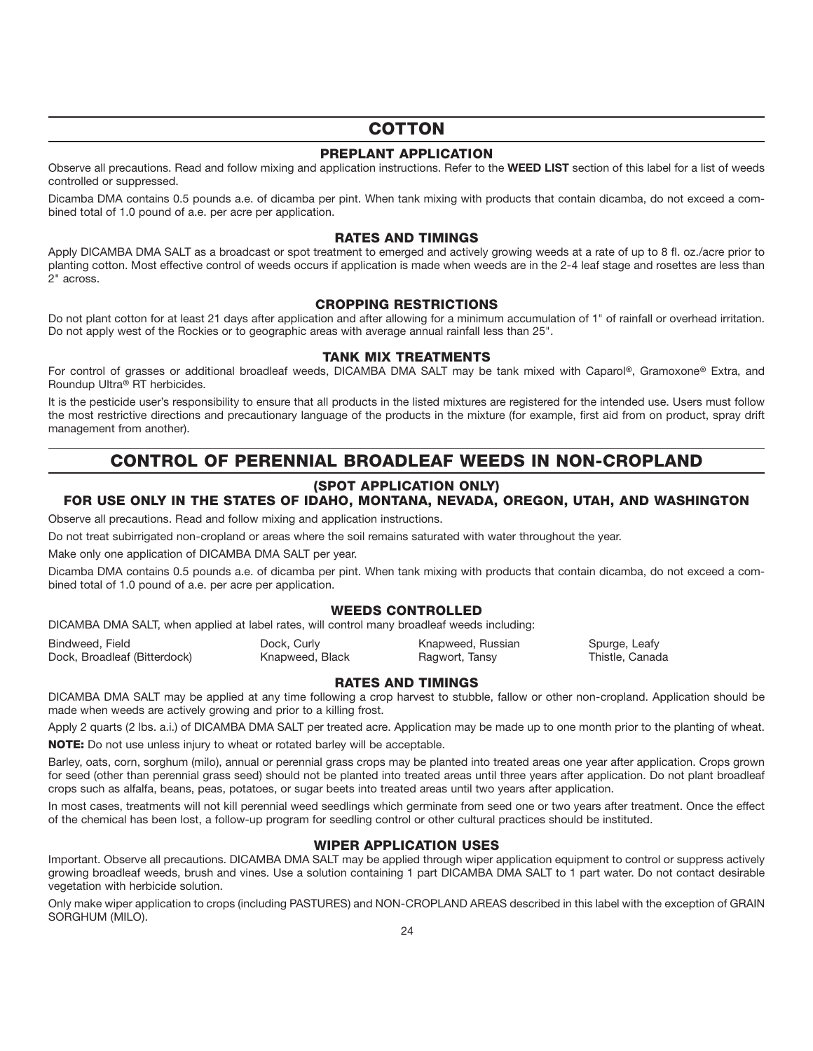# **COTTON**

#### **PREPLANT APPLICATION**

Observe all precautions. Read and follow mixing and application instructions. Refer to the **WEED LIST** section of this label for a list of weeds controlled or suppressed.

Dicamba DMA contains 0.5 pounds a.e. of dicamba per pint. When tank mixing with products that contain dicamba, do not exceed a combined total of 1.0 pound of a.e. per acre per application.

#### **RATES AND TIMINGS**

Apply DICAMBA DMA SALT as a broadcast or spot treatment to emerged and actively growing weeds at a rate of up to 8 fl. oz./acre prior to planting cotton. Most effective control of weeds occurs if application is made when weeds are in the 2-4 leaf stage and rosettes are less than 2" across.

#### **CROPPING RESTRICTIONS**

Do not plant cotton for at least 21 days after application and after allowing for a minimum accumulation of 1" of rainfall or overhead irritation. Do not apply west of the Rockies or to geographic areas with average annual rainfall less than 25".

#### **TANK MIX TREATMENTS**

For control of grasses or additional broadleaf weeds, DICAMBA DMA SALT may be tank mixed with Caparol**®**, Gramoxone**®** Extra, and Roundup Ultra**®** RT herbicides.

It is the pesticide user's responsibility to ensure that all products in the listed mixtures are registered for the intended use. Users must follow the most restrictive directions and precautionary language of the products in the mixture (for example, first aid from on product, spray drift management from another).

# **CONTROL OF PERENNIAL BROADLEAF WEEDS IN NON-CROPLAND**

# **(SPOT APPLICATION ONLY)**

#### **FOR USE ONLY IN THE STATES OF IDAHO, MONTANA, NEVADA, OREGON, UTAH, AND WASHINGTON**

Observe all precautions. Read and follow mixing and application instructions.

Do not treat subirrigated non-cropland or areas where the soil remains saturated with water throughout the year.

Make only one application of DICAMBA DMA SALT per year.

Dicamba DMA contains 0.5 pounds a.e. of dicamba per pint. When tank mixing with products that contain dicamba, do not exceed a combined total of 1.0 pound of a.e. per acre per application.

#### **WEEDS CONTROLLED**

DICAMBA DMA SALT, when applied at label rates, will control many broadleaf weeds including:

| Bindweed, Field              | Dock, Curly     | Knapweed, Russian | Spurge, Leafy   |
|------------------------------|-----------------|-------------------|-----------------|
| Dock, Broadleaf (Bitterdock) | Knapweed, Black | Ragwort, Tansy    | Thistle, Canada |

#### **RATES AND TIMINGS**

DICAMBA DMA SALT may be applied at any time following a crop harvest to stubble, fallow or other non-cropland. Application should be made when weeds are actively growing and prior to a killing frost.

Apply 2 quarts (2 lbs. a.i.) of DICAMBA DMA SALT per treated acre. Application may be made up to one month prior to the planting of wheat.

**NOTE:** Do not use unless injury to wheat or rotated barley will be acceptable.

Barley, oats, corn, sorghum (milo), annual or perennial grass crops may be planted into treated areas one year after application. Crops grown for seed (other than perennial grass seed) should not be planted into treated areas until three years after application. Do not plant broadleaf crops such as alfalfa, beans, peas, potatoes, or sugar beets into treated areas until two years after application.

In most cases, treatments will not kill perennial weed seedlings which germinate from seed one or two years after treatment. Once the effect of the chemical has been lost, a follow-up program for seedling control or other cultural practices should be instituted.

#### **WIPER APPLICATION USES**

Important. Observe all precautions. DICAMBA DMA SALT may be applied through wiper application equipment to control or suppress actively growing broadleaf weeds, brush and vines. Use a solution containing 1 part DICAMBA DMA SALT to 1 part water. Do not contact desirable vegetation with herbicide solution.

Only make wiper application to crops (including PASTURES) and NON-CROPLAND AREAS described in this label with the exception of GRAIN SORGHUM (MILO).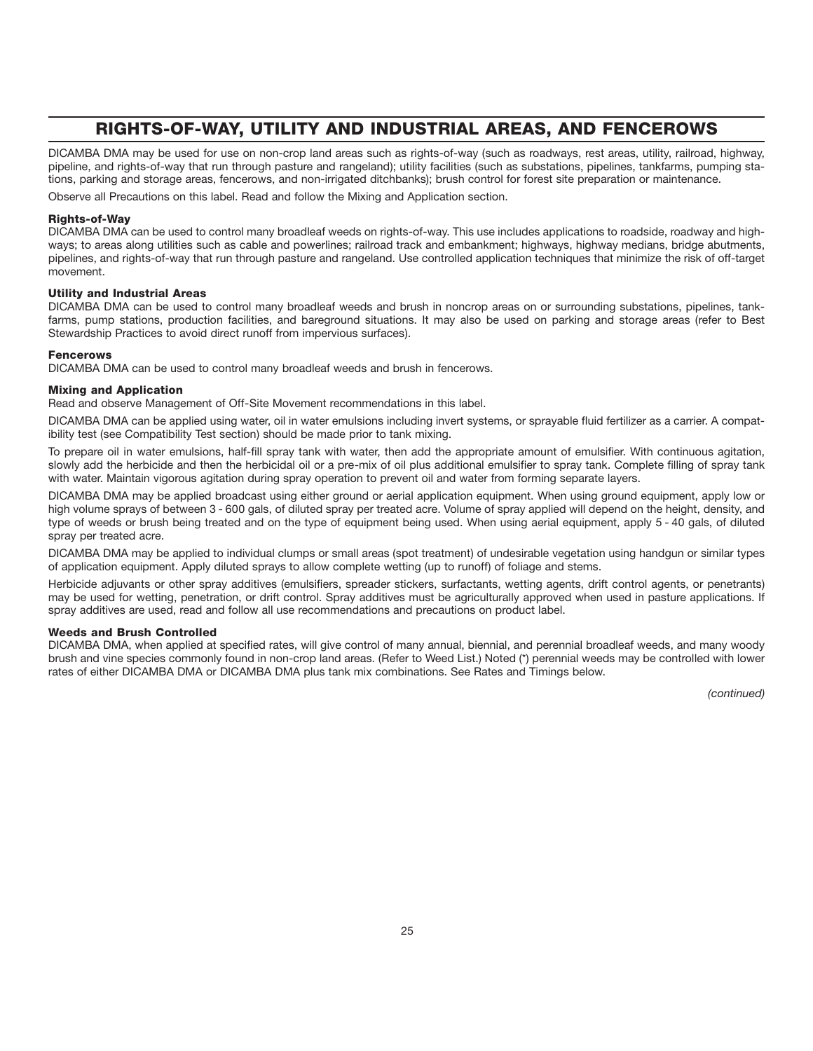# **RIGHTS-OF-WAY, UTILITY AND INDUSTRIAL AREAS, AND FENCEROWS**

DICAMBA DMA may be used for use on non-crop land areas such as rights-of-way (such as roadways, rest areas, utility, railroad, highway, pipeline, and rights-of-way that run through pasture and rangeland); utility facilities (such as substations, pipelines, tankfarms, pumping stations, parking and storage areas, fencerows, and non-irrigated ditchbanks); brush control for forest site preparation or maintenance.

Observe all Precautions on this label. Read and follow the Mixing and Application section.

#### **Rights-of-Way**

DICAMBA DMA can be used to control many broadleaf weeds on rights-of-way. This use includes applications to roadside, roadway and highways; to areas along utilities such as cable and powerlines; railroad track and embankment; highways, highway medians, bridge abutments, pipelines, and rights-of-way that run through pasture and rangeland. Use controlled application techniques that minimize the risk of off-target movement.

#### **Utility and Industrial Areas**

DICAMBA DMA can be used to control many broadleaf weeds and brush in noncrop areas on or surrounding substations, pipelines, tankfarms, pump stations, production facilities, and bareground situations. It may also be used on parking and storage areas (refer to Best Stewardship Practices to avoid direct runoff from impervious surfaces).

#### **Fencerows**

DICAMBA DMA can be used to control many broadleaf weeds and brush in fencerows.

#### **Mixing and Application**

Read and observe Management of Off-Site Movement recommendations in this label.

DICAMBA DMA can be applied using water, oil in water emulsions including invert systems, or sprayable fluid fertilizer as a carrier. A compatibility test (see Compatibility Test section) should be made prior to tank mixing.

To prepare oil in water emulsions, half-fill spray tank with water, then add the appropriate amount of emulsifier. With continuous agitation, slowly add the herbicide and then the herbicidal oil or a pre-mix of oil plus additional emulsifier to spray tank. Complete filling of spray tank with water. Maintain vigorous agitation during spray operation to prevent oil and water from forming separate layers.

DICAMBA DMA may be applied broadcast using either ground or aerial application equipment. When using ground equipment, apply low or high volume sprays of between 3 - 600 gals, of diluted spray per treated acre. Volume of spray applied will depend on the height, density, and type of weeds or brush being treated and on the type of equipment being used. When using aerial equipment, apply 5 - 40 gals, of diluted spray per treated acre.

DICAMBA DMA may be applied to individual clumps or small areas (spot treatment) of undesirable vegetation using handgun or similar types of application equipment. Apply diluted sprays to allow complete wetting (up to runoff) of foliage and stems.

Herbicide adjuvants or other spray additives (emulsifiers, spreader stickers, surfactants, wetting agents, drift control agents, or penetrants) may be used for wetting, penetration, or drift control. Spray additives must be agriculturally approved when used in pasture applications. If spray additives are used, read and follow all use recommendations and precautions on product label.

#### **Weeds and Brush Controlled**

DICAMBA DMA, when applied at specified rates, will give control of many annual, biennial, and perennial broadleaf weeds, and many woody brush and vine species commonly found in non-crop land areas. (Refer to Weed List.) Noted (\*) perennial weeds may be controlled with lower rates of either DICAMBA DMA or DICAMBA DMA plus tank mix combinations. See Rates and Timings below.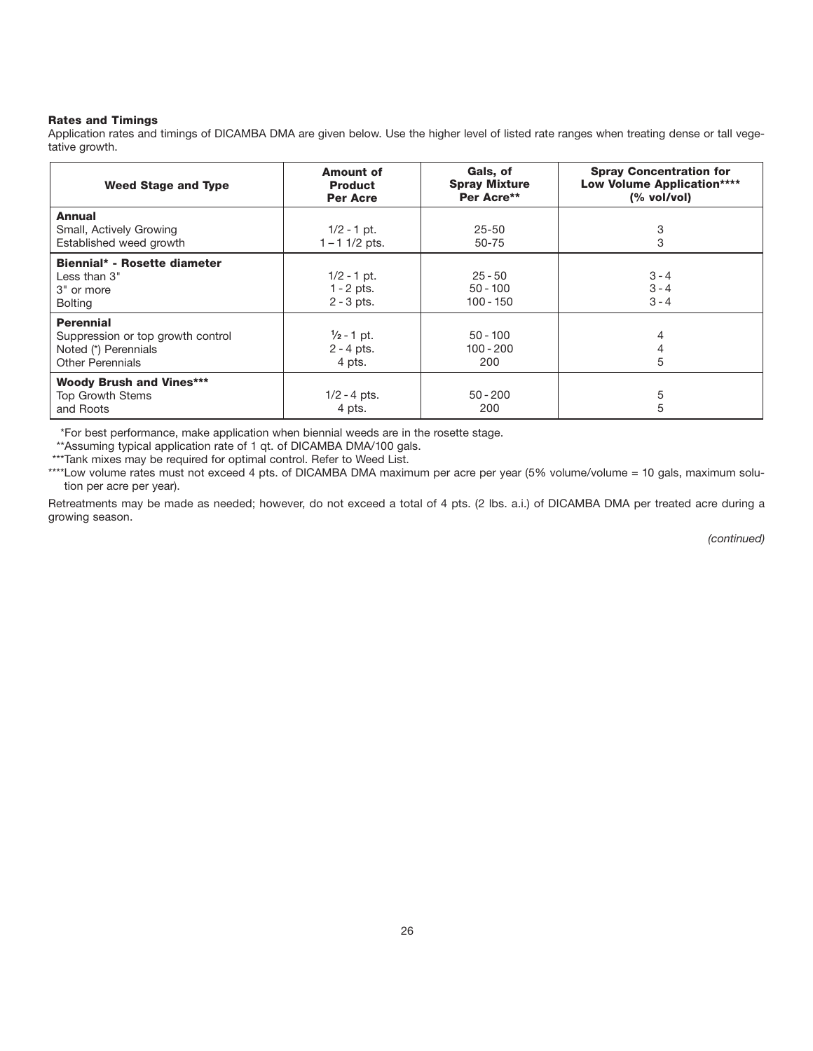#### **Rates and Timings**

Application rates and timings of DICAMBA DMA are given below. Use the higher level of listed rate ranges when treating dense or tall vegetative growth.

| <b>Weed Stage and Type</b>                                                                               | <b>Amount of</b><br><b>Product</b><br><b>Per Acre</b> | Gals, of<br><b>Spray Mixture</b><br>Per Acre** | <b>Spray Concentration for</b><br><b>Low Volume Application****</b><br>(% vol/vol) |
|----------------------------------------------------------------------------------------------------------|-------------------------------------------------------|------------------------------------------------|------------------------------------------------------------------------------------|
| Annual<br>Small, Actively Growing<br>Established weed growth                                             | $1/2 - 1$ pt.<br>$1 - 1$ 1/2 pts.                     | $25 - 50$<br>50-75                             | 3<br>3                                                                             |
| Biennial* - Rosette diameter<br>Less than $3"$<br>3" or more<br><b>Bolting</b>                           | $1/2 - 1$ pt.<br>$1 - 2$ pts.<br>$2 - 3$ pts.         | $25 - 50$<br>$50 - 100$<br>$100 - 150$         | $3 - 4$<br>$3 - 4$<br>$3 - 4$                                                      |
| <b>Perennial</b><br>Suppression or top growth control<br>Noted (*) Perennials<br><b>Other Perennials</b> | $\frac{1}{2}$ - 1 pt.<br>$2 - 4$ pts.<br>4 pts.       | $50 - 100$<br>100 - 200<br>200                 | 4<br>4<br>5                                                                        |
| <b>Woody Brush and Vines***</b><br><b>Top Growth Stems</b><br>and Roots                                  | $1/2 - 4$ pts.<br>4 pts.                              | $50 - 200$<br>200                              | 5<br>5                                                                             |

\*For best performance, make application when biennial weeds are in the rosette stage.

\*\*Assuming typical application rate of 1 qt. of DICAMBA DMA/100 gals.

\*\*\*Tank mixes may be required for optimal control. Refer to Weed List.

\*\*\*\*Low volume rates must not exceed 4 pts. of DICAMBA DMA maximum per acre per year (5% volume/volume = 10 gals, maximum solution per acre per year).

Retreatments may be made as needed; however, do not exceed a total of 4 pts. (2 lbs. a.i.) of DICAMBA DMA per treated acre during a growing season.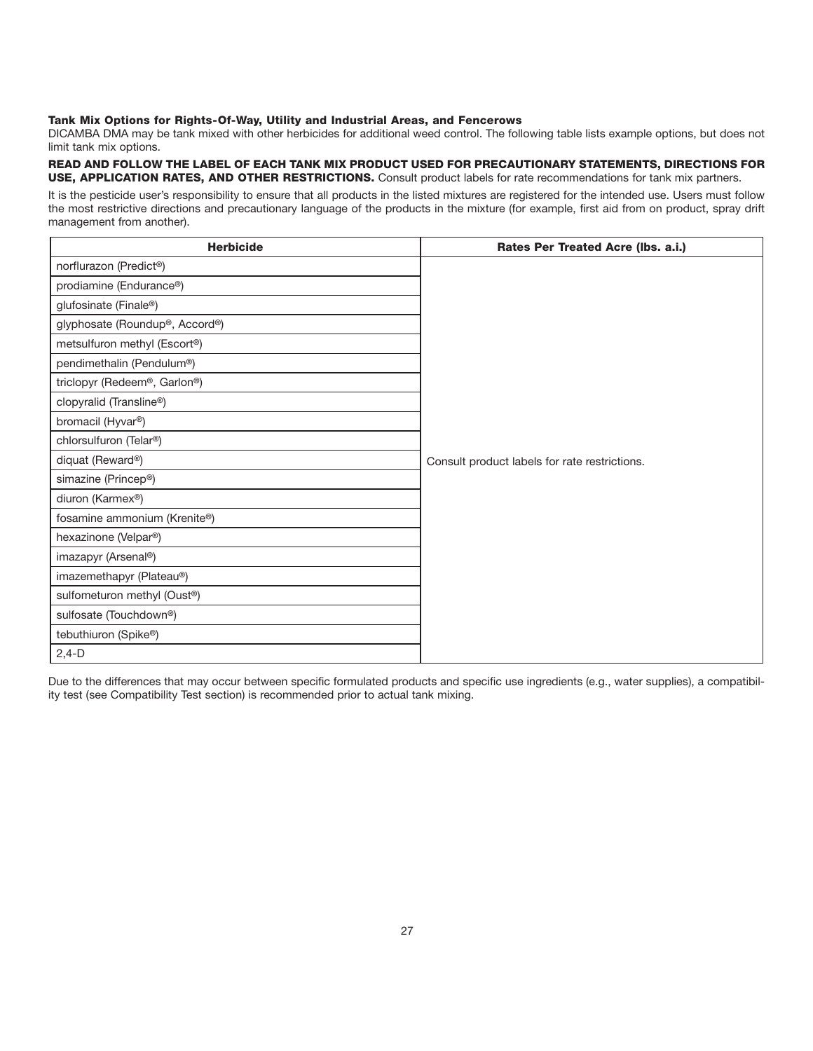#### **Tank Mix Options for Rights-Of-Way, Utility and Industrial Areas, and Fencerows**

DICAMBA DMA may be tank mixed with other herbicides for additional weed control. The following table lists example options, but does not limit tank mix options.

READ AND FOLLOW THE LABEL OF EACH TANK MIX PRODUCT USED FOR PRECAUTIONARY STATEMENTS, DIRECTIONS FOR **USE, APPLICATION RATES, AND OTHER RESTRICTIONS.** Consult product labels for rate recommendations for tank mix partners.

It is the pesticide user's responsibility to ensure that all products in the listed mixtures are registered for the intended use. Users must follow the most restrictive directions and precautionary language of the products in the mixture (for example, first aid from on product, spray drift management from another).

| <b>Herbicide</b>                         | Rates Per Treated Acre (Ibs. a.i.)            |
|------------------------------------------|-----------------------------------------------|
| norflurazon (Predict®)                   |                                               |
| prodiamine (Endurance®)                  |                                               |
| glufosinate (Finale®)                    |                                               |
| glyphosate (Roundup®, Accord®)           |                                               |
| metsulfuron methyl (Escort®)             |                                               |
| pendimethalin (Pendulum®)                |                                               |
| triclopyr (Redeem®, Garlon®)             |                                               |
| clopyralid (Transline®)                  |                                               |
| bromacil (Hyvar <sup>®</sup> )           |                                               |
| chlorsulfuron (Telar®)                   |                                               |
| diquat (Reward®)                         | Consult product labels for rate restrictions. |
| simazine (Princep®)                      |                                               |
| diuron (Karmex <sup>®</sup> )            |                                               |
| fosamine ammonium (Krenite®)             |                                               |
| hexazinone (Velpar®)                     |                                               |
| imazapyr (Arsenal®)                      |                                               |
| imazemethapyr (Plateau®)                 |                                               |
| sulfometuron methyl (Oust <sup>®</sup> ) |                                               |
| sulfosate (Touchdown®)                   |                                               |
| tebuthiuron (Spike®)                     |                                               |
| $2,4-D$                                  |                                               |

Due to the differences that may occur between specific formulated products and specific use ingredients (e.g., water supplies), a compatibility test (see Compatibility Test section) is recommended prior to actual tank mixing.